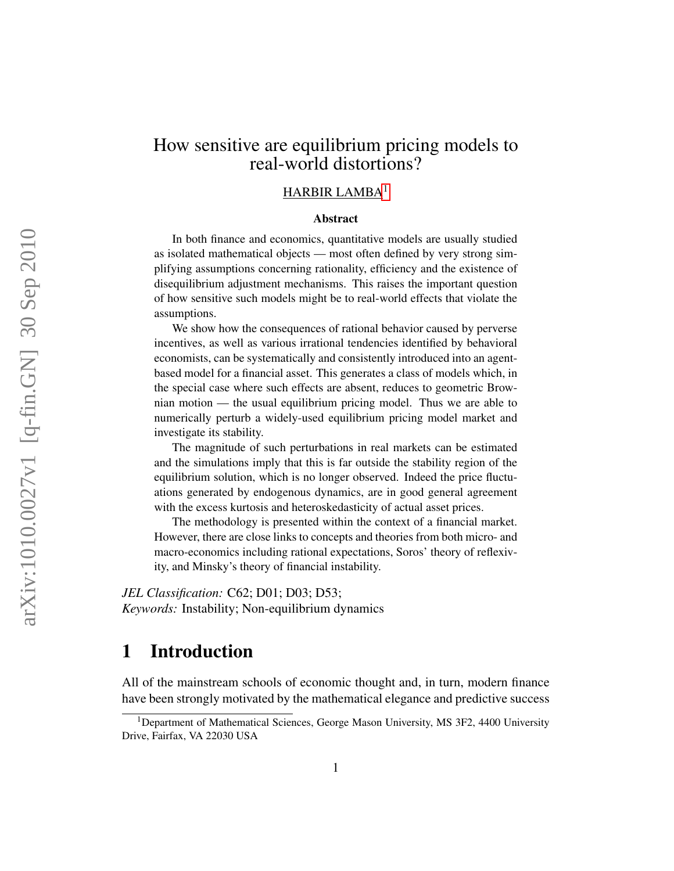## How sensitive are equilibrium pricing models to real-world distortions?

#### HARBIR LAMBA<sup>[1](#page-0-0)</sup>

#### Abstract

In both finance and economics, quantitative models are usually studied as isolated mathematical objects — most often defined by very strong simplifying assumptions concerning rationality, efficiency and the existence of disequilibrium adjustment mechanisms. This raises the important question of how sensitive such models might be to real-world effects that violate the assumptions.

We show how the consequences of rational behavior caused by perverse incentives, as well as various irrational tendencies identified by behavioral economists, can be systematically and consistently introduced into an agentbased model for a financial asset. This generates a class of models which, in the special case where such effects are absent, reduces to geometric Brownian motion — the usual equilibrium pricing model. Thus we are able to numerically perturb a widely-used equilibrium pricing model market and investigate its stability.

The magnitude of such perturbations in real markets can be estimated and the simulations imply that this is far outside the stability region of the equilibrium solution, which is no longer observed. Indeed the price fluctuations generated by endogenous dynamics, are in good general agreement with the excess kurtosis and heteroskedasticity of actual asset prices.

The methodology is presented within the context of a financial market. However, there are close links to concepts and theories from both micro- and macro-economics including rational expectations, Soros' theory of reflexivity, and Minsky's theory of financial instability.

*JEL Classification:* C62; D01; D03; D53; *Keywords:* Instability; Non-equilibrium dynamics

## 1 Introduction

All of the mainstream schools of economic thought and, in turn, modern finance have been strongly motivated by the mathematical elegance and predictive success

<span id="page-0-0"></span><sup>&</sup>lt;sup>1</sup>Department of Mathematical Sciences, George Mason University, MS 3F2, 4400 University Drive, Fairfax, VA 22030 USA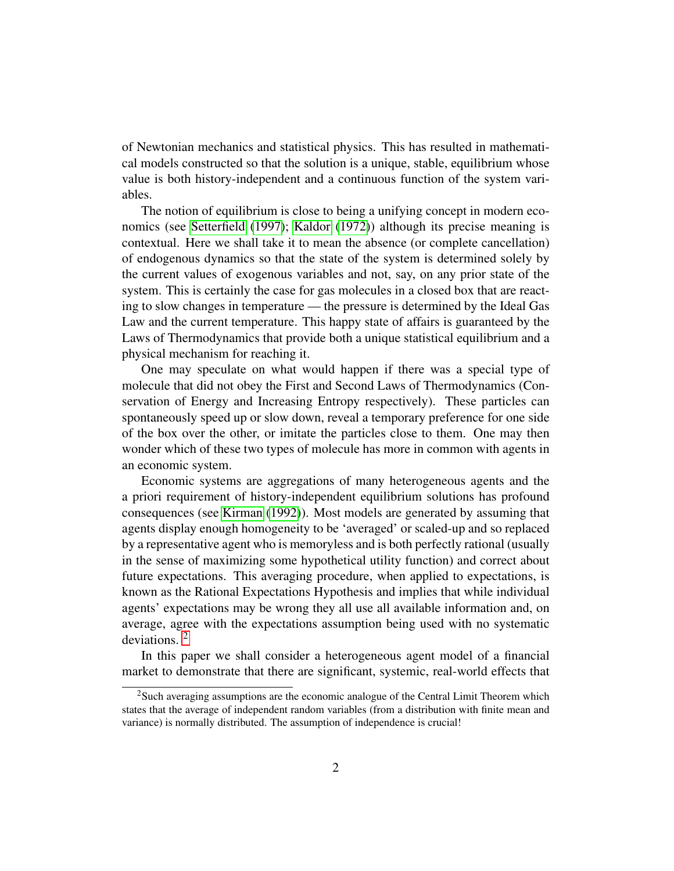of Newtonian mechanics and statistical physics. This has resulted in mathematical models constructed so that the solution is a unique, stable, equilibrium whose value is both history-independent and a continuous function of the system variables.

The notion of equilibrium is close to being a unifying concept in modern economics (see [Setterfield](#page-30-0) [\(1997\)](#page-30-0); [Kaldor](#page-29-0) [\(1972\)](#page-29-0)) although its precise meaning is contextual. Here we shall take it to mean the absence (or complete cancellation) of endogenous dynamics so that the state of the system is determined solely by the current values of exogenous variables and not, say, on any prior state of the system. This is certainly the case for gas molecules in a closed box that are reacting to slow changes in temperature — the pressure is determined by the Ideal Gas Law and the current temperature. This happy state of affairs is guaranteed by the Laws of Thermodynamics that provide both a unique statistical equilibrium and a physical mechanism for reaching it.

One may speculate on what would happen if there was a special type of molecule that did not obey the First and Second Laws of Thermodynamics (Conservation of Energy and Increasing Entropy respectively). These particles can spontaneously speed up or slow down, reveal a temporary preference for one side of the box over the other, or imitate the particles close to them. One may then wonder which of these two types of molecule has more in common with agents in an economic system.

Economic systems are aggregations of many heterogeneous agents and the a priori requirement of history-independent equilibrium solutions has profound consequences (see [Kirman](#page-29-1) [\(1992\)](#page-29-1)). Most models are generated by assuming that agents display enough homogeneity to be 'averaged' or scaled-up and so replaced by a representative agent who is memoryless and is both perfectly rational (usually in the sense of maximizing some hypothetical utility function) and correct about future expectations. This averaging procedure, when applied to expectations, is known as the Rational Expectations Hypothesis and implies that while individual agents' expectations may be wrong they all use all available information and, on average, agree with the expectations assumption being used with no systematic deviations. [2](#page-1-0)

In this paper we shall consider a heterogeneous agent model of a financial market to demonstrate that there are significant, systemic, real-world effects that

<span id="page-1-0"></span><sup>&</sup>lt;sup>2</sup>Such averaging assumptions are the economic analogue of the Central Limit Theorem which states that the average of independent random variables (from a distribution with finite mean and variance) is normally distributed. The assumption of independence is crucial!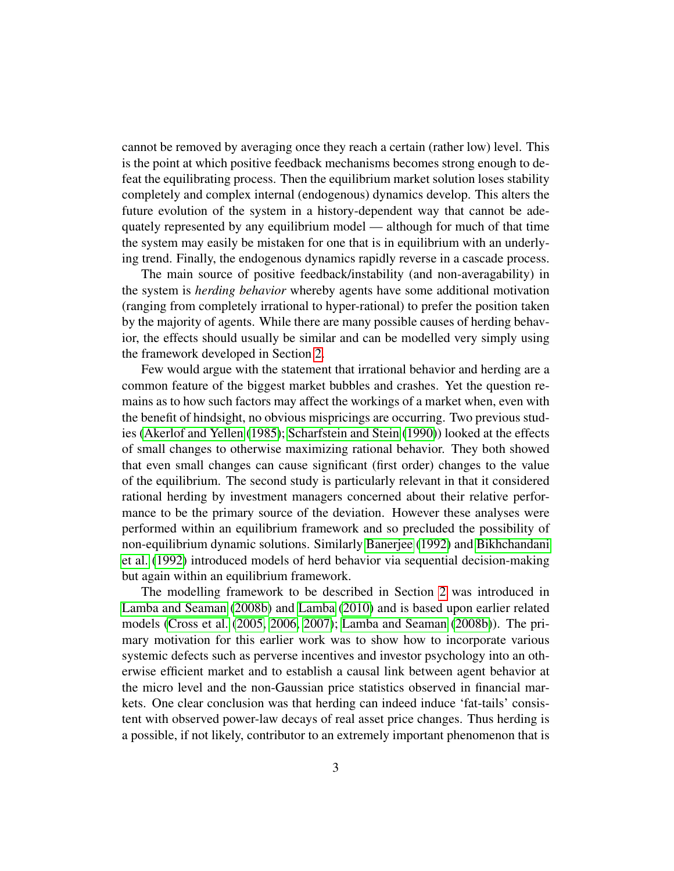cannot be removed by averaging once they reach a certain (rather low) level. This is the point at which positive feedback mechanisms becomes strong enough to defeat the equilibrating process. Then the equilibrium market solution loses stability completely and complex internal (endogenous) dynamics develop. This alters the future evolution of the system in a history-dependent way that cannot be adequately represented by any equilibrium model — although for much of that time the system may easily be mistaken for one that is in equilibrium with an underlying trend. Finally, the endogenous dynamics rapidly reverse in a cascade process.

The main source of positive feedback/instability (and non-averagability) in the system is *herding behavior* whereby agents have some additional motivation (ranging from completely irrational to hyper-rational) to prefer the position taken by the majority of agents. While there are many possible causes of herding behavior, the effects should usually be similar and can be modelled very simply using the framework developed in Section [2.](#page-3-0)

Few would argue with the statement that irrational behavior and herding are a common feature of the biggest market bubbles and crashes. Yet the question remains as to how such factors may affect the workings of a market when, even with the benefit of hindsight, no obvious mispricings are occurring. Two previous studies [\(Akerlof and Yellen](#page-27-0) [\(1985\)](#page-27-0); [Scharfstein and Stein](#page-30-1) [\(1990\)](#page-30-1)) looked at the effects of small changes to otherwise maximizing rational behavior. They both showed that even small changes can cause significant (first order) changes to the value of the equilibrium. The second study is particularly relevant in that it considered rational herding by investment managers concerned about their relative performance to be the primary source of the deviation. However these analyses were performed within an equilibrium framework and so precluded the possibility of non-equilibrium dynamic solutions. Similarly [Banerjee](#page-27-1) [\(1992\)](#page-27-1) and [Bikhchandani](#page-27-2) [et al.](#page-27-2) [\(1992\)](#page-27-2) introduced models of herd behavior via sequential decision-making but again within an equilibrium framework.

The modelling framework to be described in Section [2](#page-3-0) was introduced in [Lamba and Seaman](#page-29-2) [\(2008b\)](#page-29-2) and [Lamba](#page-29-3) [\(2010\)](#page-29-3) and is based upon earlier related models [\(Cross et al.](#page-28-0) [\(2005,](#page-28-0) [2006,](#page-28-1) [2007\)](#page-28-2); [Lamba and Seaman](#page-29-2) [\(2008b\)](#page-29-2)). The primary motivation for this earlier work was to show how to incorporate various systemic defects such as perverse incentives and investor psychology into an otherwise efficient market and to establish a causal link between agent behavior at the micro level and the non-Gaussian price statistics observed in financial markets. One clear conclusion was that herding can indeed induce 'fat-tails' consistent with observed power-law decays of real asset price changes. Thus herding is a possible, if not likely, contributor to an extremely important phenomenon that is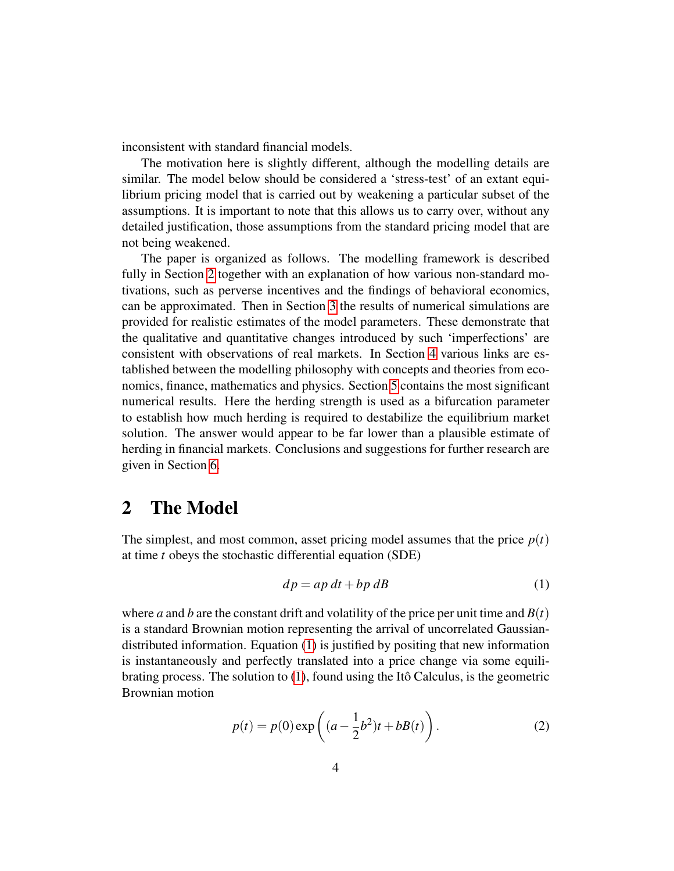inconsistent with standard financial models.

The motivation here is slightly different, although the modelling details are similar. The model below should be considered a 'stress-test' of an extant equilibrium pricing model that is carried out by weakening a particular subset of the assumptions. It is important to note that this allows us to carry over, without any detailed justification, those assumptions from the standard pricing model that are not being weakened.

The paper is organized as follows. The modelling framework is described fully in Section [2](#page-3-0) together with an explanation of how various non-standard motivations, such as perverse incentives and the findings of behavioral economics, can be approximated. Then in Section [3](#page-10-0) the results of numerical simulations are provided for realistic estimates of the model parameters. These demonstrate that the qualitative and quantitative changes introduced by such 'imperfections' are consistent with observations of real markets. In Section [4](#page-13-0) various links are established between the modelling philosophy with concepts and theories from economics, finance, mathematics and physics. Section [5](#page-21-0) contains the most significant numerical results. Here the herding strength is used as a bifurcation parameter to establish how much herding is required to destabilize the equilibrium market solution. The answer would appear to be far lower than a plausible estimate of herding in financial markets. Conclusions and suggestions for further research are given in Section [6.](#page-22-0)

## <span id="page-3-0"></span>2 The Model

The simplest, and most common, asset pricing model assumes that the price  $p(t)$ at time *t* obeys the stochastic differential equation (SDE)

<span id="page-3-1"></span>
$$
dp = ap \, dt + bp \, dB \tag{1}
$$

where *a* and *b* are the constant drift and volatility of the price per unit time and  $B(t)$ is a standard Brownian motion representing the arrival of uncorrelated Gaussiandistributed information. Equation [\(1\)](#page-3-1) is justified by positing that new information is instantaneously and perfectly translated into a price change via some equilibrating process. The solution to  $(1)$ , found using the Itô Calculus, is the geometric Brownian motion

$$
p(t) = p(0) \exp\left( (a - \frac{1}{2}b^2)t + bB(t) \right).
$$
 (2)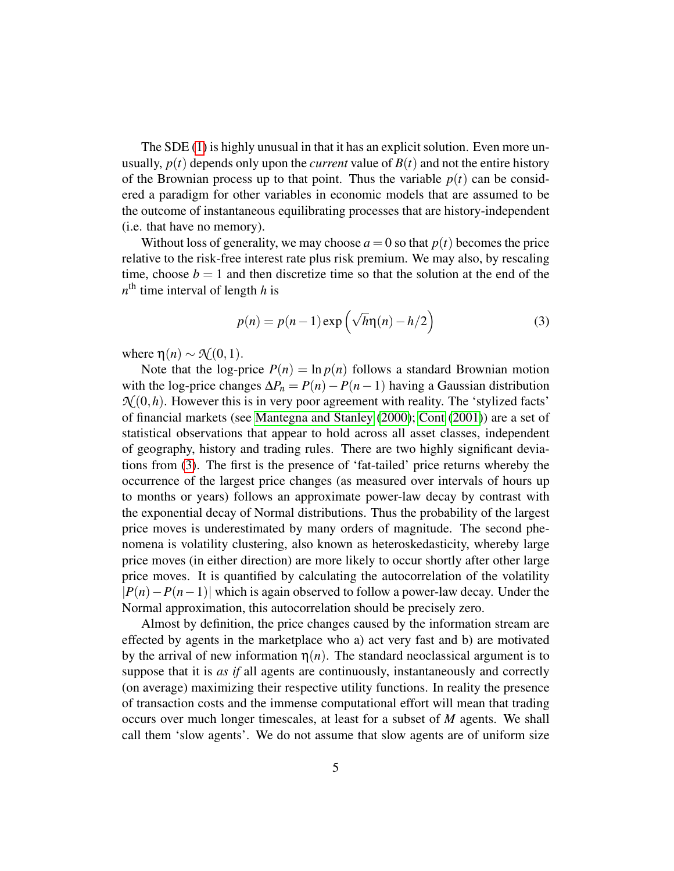The SDE [\(1\)](#page-3-1) is highly unusual in that it has an explicit solution. Even more unusually,  $p(t)$  depends only upon the *current* value of  $B(t)$  and not the entire history of the Brownian process up to that point. Thus the variable  $p(t)$  can be considered a paradigm for other variables in economic models that are assumed to be the outcome of instantaneous equilibrating processes that are history-independent (i.e. that have no memory).

Without loss of generality, we may choose  $a = 0$  so that  $p(t)$  becomes the price relative to the risk-free interest rate plus risk premium. We may also, by rescaling time, choose  $b = 1$  and then discretize time so that the solution at the end of the  $n^{\text{th}}$  time interval of length *h* is

<span id="page-4-0"></span>
$$
p(n) = p(n-1)\exp\left(\sqrt{h}\eta(n) - h/2\right)
$$
 (3)

where  $\eta(n) \sim \mathcal{N}(0,1)$ .

Note that the log-price  $P(n) = \ln p(n)$  follows a standard Brownian motion with the log-price changes  $\Delta P_n = P(n) - P(n-1)$  having a Gaussian distribution  $\mathcal{N}(0,h)$ . However this is in very poor agreement with reality. The 'stylized facts' of financial markets (see [Mantegna and Stanley](#page-29-4) [\(2000\)](#page-29-4); [Cont](#page-28-3) [\(2001\)](#page-28-3)) are a set of statistical observations that appear to hold across all asset classes, independent of geography, history and trading rules. There are two highly significant deviations from [\(3\)](#page-4-0). The first is the presence of 'fat-tailed' price returns whereby the occurrence of the largest price changes (as measured over intervals of hours up to months or years) follows an approximate power-law decay by contrast with the exponential decay of Normal distributions. Thus the probability of the largest price moves is underestimated by many orders of magnitude. The second phenomena is volatility clustering, also known as heteroskedasticity, whereby large price moves (in either direction) are more likely to occur shortly after other large price moves. It is quantified by calculating the autocorrelation of the volatility |*P*(*n*)−*P*(*n*−1)| which is again observed to follow a power-law decay. Under the Normal approximation, this autocorrelation should be precisely zero.

Almost by definition, the price changes caused by the information stream are effected by agents in the marketplace who a) act very fast and b) are motivated by the arrival of new information  $\eta(n)$ . The standard neoclassical argument is to suppose that it is *as if* all agents are continuously, instantaneously and correctly (on average) maximizing their respective utility functions. In reality the presence of transaction costs and the immense computational effort will mean that trading occurs over much longer timescales, at least for a subset of *M* agents. We shall call them 'slow agents'. We do not assume that slow agents are of uniform size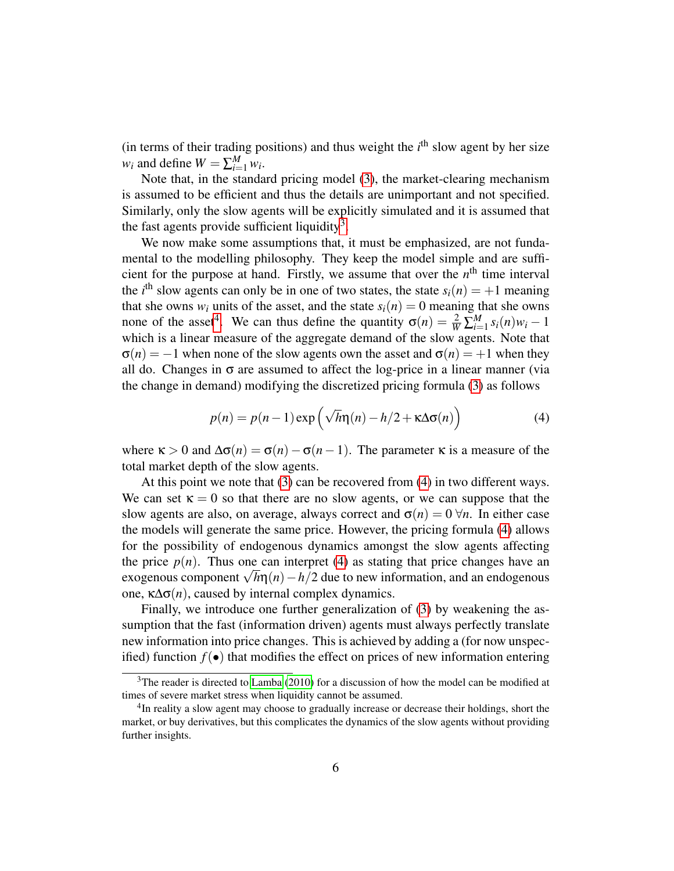(in terms of their trading positions) and thus weight the  $i<sup>th</sup>$  slow agent by her size  $w_i$  and define  $W = \sum_{i=1}^{M} w_i$ .

Note that, in the standard pricing model [\(3\)](#page-4-0), the market-clearing mechanism is assumed to be efficient and thus the details are unimportant and not specified. Similarly, only the slow agents will be explicitly simulated and it is assumed that the fast agents provide sufficient liquidity<sup>[3](#page-5-0)</sup>.

We now make some assumptions that, it must be emphasized, are not fundamental to the modelling philosophy. They keep the model simple and are sufficient for the purpose at hand. Firstly, we assume that over the  $n<sup>th</sup>$  time interval the *i*<sup>th</sup> slow agents can only be in one of two states, the state  $s_i(n) = +1$  meaning that she owns  $w_i$  units of the asset, and the state  $s_i(n) = 0$  meaning that she owns none of the asset<sup>[4](#page-5-1)</sup>. We can thus define the quantity  $\sigma(n) = \frac{2}{W} \sum_{i=1}^{M} s_i(n) w_i - 1$ which is a linear measure of the aggregate demand of the slow agents. Note that  $\sigma(n) = -1$  when none of the slow agents own the asset and  $\sigma(n) = +1$  when they all do. Changes in  $\sigma$  are assumed to affect the log-price in a linear manner (via the change in demand) modifying the discretized pricing formula [\(3\)](#page-4-0) as follows

<span id="page-5-2"></span>
$$
p(n) = p(n-1) \exp\left(\sqrt{h}\eta(n) - \frac{h}{2} + \kappa \Delta \sigma(n)\right)
$$
 (4)

where  $\kappa > 0$  and  $\Delta \sigma(n) = \sigma(n) - \sigma(n-1)$ . The parameter  $\kappa$  is a measure of the total market depth of the slow agents.

At this point we note that [\(3\)](#page-4-0) can be recovered from [\(4\)](#page-5-2) in two different ways. We can set  $\kappa = 0$  so that there are no slow agents, or we can suppose that the slow agents are also, on average, always correct and  $\sigma(n) = 0 \forall n$ . In either case the models will generate the same price. However, the pricing formula [\(4\)](#page-5-2) allows for the possibility of endogenous dynamics amongst the slow agents affecting the price  $p(n)$ . Thus one can interpret [\(4\)](#page-5-2) as stating that price changes have an the price  $p(n)$ . Thus one can interpret (4) as stating that price changes have an exogenous component  $\sqrt{h} \eta(n) - h/2$  due to new information, and an endogenous one, κ∆σ(*n*), caused by internal complex dynamics.

Finally, we introduce one further generalization of [\(3\)](#page-4-0) by weakening the assumption that the fast (information driven) agents must always perfectly translate new information into price changes. This is achieved by adding a (for now unspecified) function  $f(\bullet)$  that modifies the effect on prices of new information entering

<span id="page-5-0"></span> $3$ The reader is directed to [Lamba](#page-29-3) [\(2010\)](#page-29-3) for a discussion of how the model can be modified at times of severe market stress when liquidity cannot be assumed.

<span id="page-5-1"></span><sup>&</sup>lt;sup>4</sup>In reality a slow agent may choose to gradually increase or decrease their holdings, short the market, or buy derivatives, but this complicates the dynamics of the slow agents without providing further insights.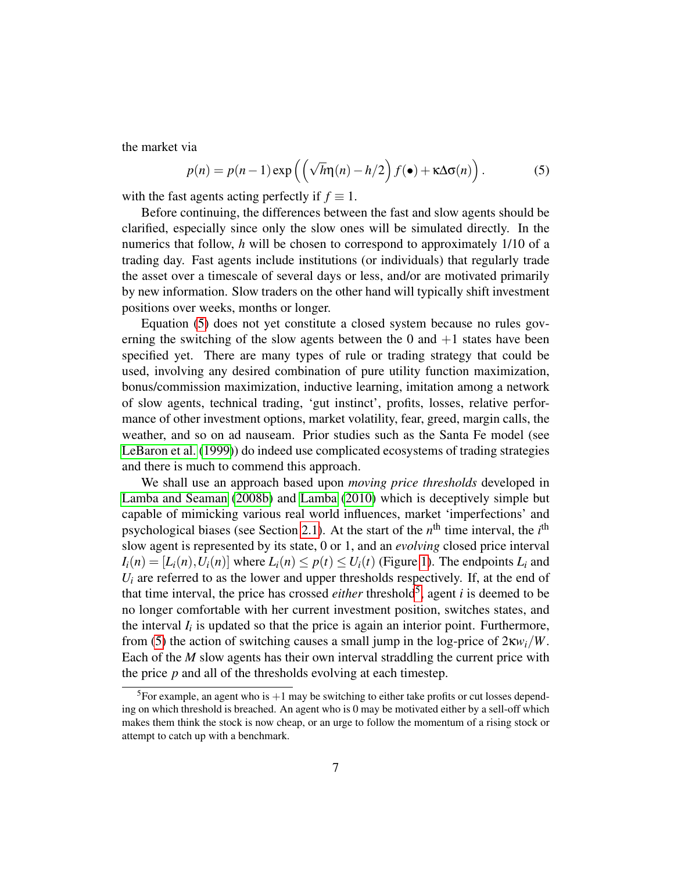the market via

<span id="page-6-0"></span>
$$
p(n) = p(n-1)\exp\left(\left(\sqrt{h}\eta(n) - h/2\right)f(\bullet) + \kappa\Delta\sigma(n)\right). \tag{5}
$$

with the fast agents acting perfectly if  $f \equiv 1$ .

Before continuing, the differences between the fast and slow agents should be clarified, especially since only the slow ones will be simulated directly. In the numerics that follow, *h* will be chosen to correspond to approximately 1/10 of a trading day. Fast agents include institutions (or individuals) that regularly trade the asset over a timescale of several days or less, and/or are motivated primarily by new information. Slow traders on the other hand will typically shift investment positions over weeks, months or longer.

Equation [\(5\)](#page-6-0) does not yet constitute a closed system because no rules governing the switching of the slow agents between the 0 and  $+1$  states have been specified yet. There are many types of rule or trading strategy that could be used, involving any desired combination of pure utility function maximization, bonus/commission maximization, inductive learning, imitation among a network of slow agents, technical trading, 'gut instinct', profits, losses, relative performance of other investment options, market volatility, fear, greed, margin calls, the weather, and so on ad nauseam. Prior studies such as the Santa Fe model (see [LeBaron et al.](#page-29-5) [\(1999\)](#page-29-5)) do indeed use complicated ecosystems of trading strategies and there is much to commend this approach.

We shall use an approach based upon *moving price thresholds* developed in [Lamba and Seaman](#page-29-2) [\(2008b\)](#page-29-2) and [Lamba](#page-29-3) [\(2010\)](#page-29-3) which is deceptively simple but capable of mimicking various real world influences, market 'imperfections' and psychological biases (see Section [2.1\)](#page-9-0). At the start of the *n*<sup>th</sup> time interval, the *i*<sup>th</sup> slow agent is represented by its state, 0 or 1, and an *evolving* closed price interval  $I_i(n) = [L_i(n), U_i(n)]$  where  $L_i(n) \le p(t) \le U_i(t)$  (Figure [1\)](#page-7-0). The endpoints  $L_i$  and  $U_i$  are referred to as the lower and upper thresholds respectively. If, at the end of that time interval, the price has crossed *either* threshold<sup>[5](#page-6-1)</sup>, agent *i* is deemed to be no longer comfortable with her current investment position, switches states, and the interval  $I_i$  is updated so that the price is again an interior point. Furthermore, from [\(5\)](#page-6-0) the action of switching causes a small jump in the log-price of 2κ*wi*/*W*. Each of the *M* slow agents has their own interval straddling the current price with the price *p* and all of the thresholds evolving at each timestep.

<span id="page-6-1"></span><sup>&</sup>lt;sup>5</sup>For example, an agent who is  $+1$  may be switching to either take profits or cut losses depending on which threshold is breached. An agent who is 0 may be motivated either by a sell-off which makes them think the stock is now cheap, or an urge to follow the momentum of a rising stock or attempt to catch up with a benchmark.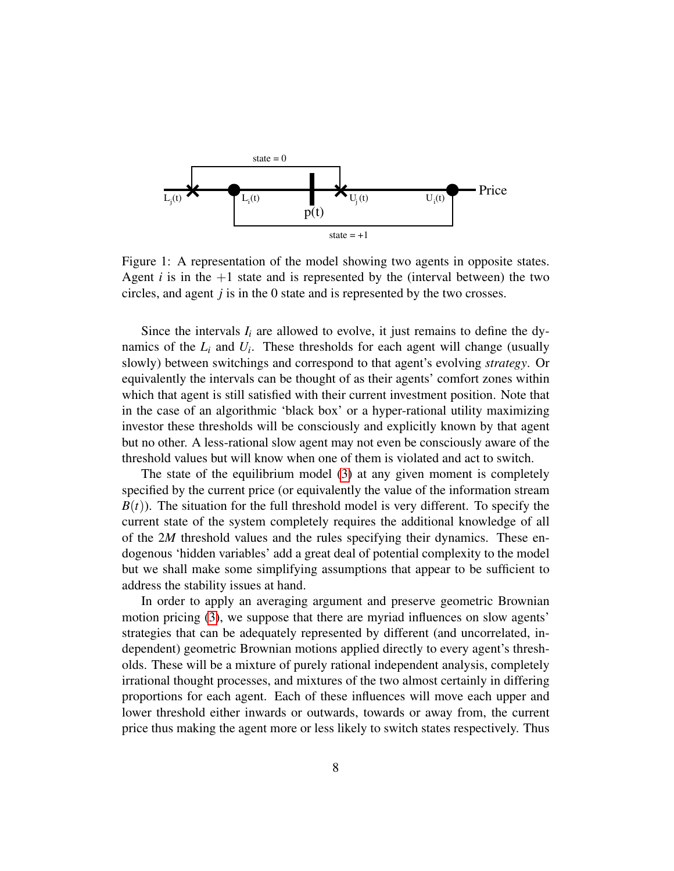

<span id="page-7-0"></span>Figure 1: A representation of the model showing two agents in opposite states. Agent  $i$  is in the  $+1$  state and is represented by the (interval between) the two circles, and agent *j* is in the 0 state and is represented by the two crosses.

Since the intervals  $I_i$  are allowed to evolve, it just remains to define the dynamics of the  $L_i$  and  $U_i$ . These thresholds for each agent will change (usually slowly) between switchings and correspond to that agent's evolving *strategy*. Or equivalently the intervals can be thought of as their agents' comfort zones within which that agent is still satisfied with their current investment position. Note that in the case of an algorithmic 'black box' or a hyper-rational utility maximizing investor these thresholds will be consciously and explicitly known by that agent but no other. A less-rational slow agent may not even be consciously aware of the threshold values but will know when one of them is violated and act to switch.

The state of the equilibrium model [\(3\)](#page-4-0) at any given moment is completely specified by the current price (or equivalently the value of the information stream  $B(t)$ ). The situation for the full threshold model is very different. To specify the current state of the system completely requires the additional knowledge of all of the 2*M* threshold values and the rules specifying their dynamics. These endogenous 'hidden variables' add a great deal of potential complexity to the model but we shall make some simplifying assumptions that appear to be sufficient to address the stability issues at hand.

In order to apply an averaging argument and preserve geometric Brownian motion pricing [\(3\)](#page-4-0), we suppose that there are myriad influences on slow agents' strategies that can be adequately represented by different (and uncorrelated, independent) geometric Brownian motions applied directly to every agent's thresholds. These will be a mixture of purely rational independent analysis, completely irrational thought processes, and mixtures of the two almost certainly in differing proportions for each agent. Each of these influences will move each upper and lower threshold either inwards or outwards, towards or away from, the current price thus making the agent more or less likely to switch states respectively. Thus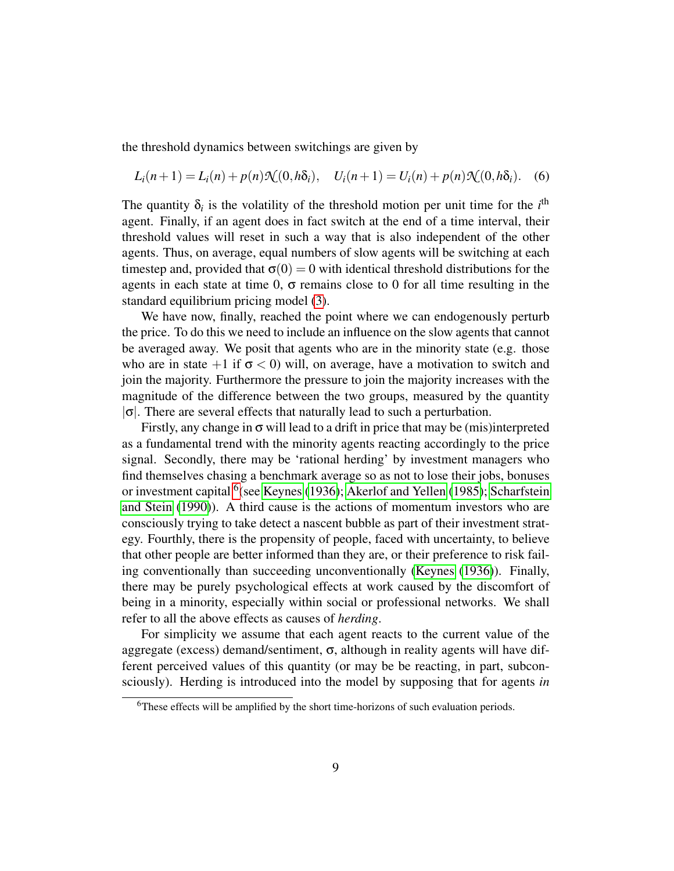the threshold dynamics between switchings are given by

<span id="page-8-1"></span>
$$
L_i(n+1) = L_i(n) + p(n)\mathcal{N}(0,h\delta_i), \quad U_i(n+1) = U_i(n) + p(n)\mathcal{N}(0,h\delta_i).
$$
 (6)

The quantity  $\delta_i$  is the volatility of the threshold motion per unit time for the  $i^{\text{th}}$ agent. Finally, if an agent does in fact switch at the end of a time interval, their threshold values will reset in such a way that is also independent of the other agents. Thus, on average, equal numbers of slow agents will be switching at each timestep and, provided that  $\sigma(0) = 0$  with identical threshold distributions for the agents in each state at time 0,  $\sigma$  remains close to 0 for all time resulting in the standard equilibrium pricing model [\(3\)](#page-4-0).

We have now, finally, reached the point where we can endogenously perturb the price. To do this we need to include an influence on the slow agents that cannot be averaged away. We posit that agents who are in the minority state (e.g. those who are in state  $+1$  if  $\sigma < 0$ ) will, on average, have a motivation to switch and join the majority. Furthermore the pressure to join the majority increases with the magnitude of the difference between the two groups, measured by the quantity  $|\sigma|$ . There are several effects that naturally lead to such a perturbation.

Firstly, any change in  $\sigma$  will lead to a drift in price that may be (mis)interpreted as a fundamental trend with the minority agents reacting accordingly to the price signal. Secondly, there may be 'rational herding' by investment managers who find themselves chasing a benchmark average so as not to lose their jobs, bonuses or investment capital <sup>[6](#page-8-0)</sup> (see [Keynes](#page-29-6) [\(1936\)](#page-29-6); [Akerlof and Yellen](#page-27-0) [\(1985\)](#page-27-0); [Scharfstein](#page-30-1) [and Stein](#page-30-1) [\(1990\)](#page-30-1)). A third cause is the actions of momentum investors who are consciously trying to take detect a nascent bubble as part of their investment strategy. Fourthly, there is the propensity of people, faced with uncertainty, to believe that other people are better informed than they are, or their preference to risk failing conventionally than succeeding unconventionally [\(Keynes](#page-29-6) [\(1936\)](#page-29-6)). Finally, there may be purely psychological effects at work caused by the discomfort of being in a minority, especially within social or professional networks. We shall refer to all the above effects as causes of *herding*.

For simplicity we assume that each agent reacts to the current value of the aggregate (excess) demand/sentiment,  $\sigma$ , although in reality agents will have different perceived values of this quantity (or may be be reacting, in part, subconsciously). Herding is introduced into the model by supposing that for agents *in*

<span id="page-8-0"></span><sup>&</sup>lt;sup>6</sup>These effects will be amplified by the short time-horizons of such evaluation periods.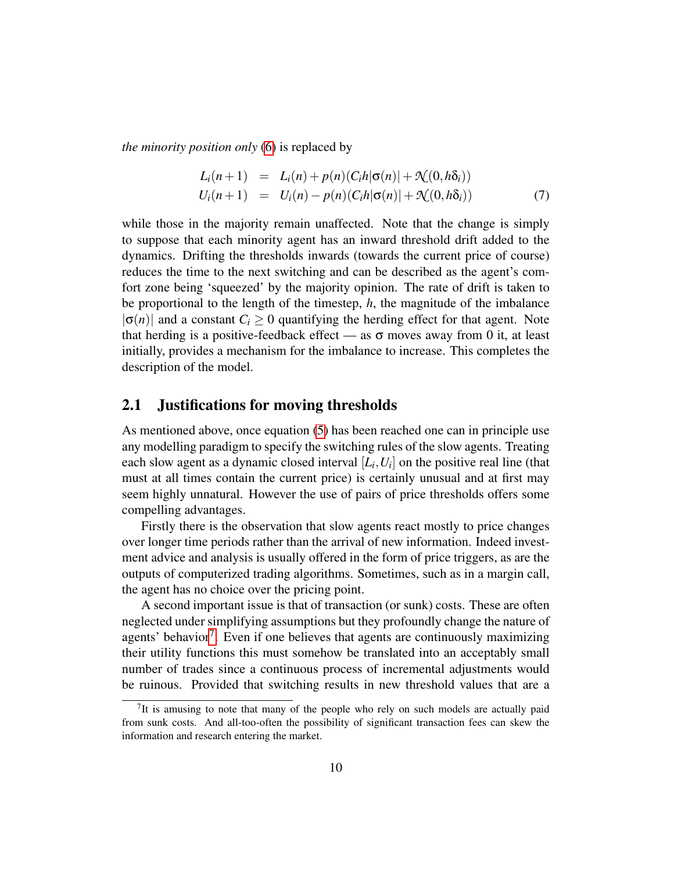*the minority position only* [\(6\)](#page-8-1) is replaced by

<span id="page-9-2"></span>
$$
L_i(n+1) = L_i(n) + p(n)(C_i h|\sigma(n)| + \mathcal{N}(0, h\delta_i))
$$
  
\n
$$
U_i(n+1) = U_i(n) - p(n)(C_i h|\sigma(n)| + \mathcal{N}(0, h\delta_i))
$$
\n(7)

while those in the majority remain unaffected. Note that the change is simply to suppose that each minority agent has an inward threshold drift added to the dynamics. Drifting the thresholds inwards (towards the current price of course) reduces the time to the next switching and can be described as the agent's comfort zone being 'squeezed' by the majority opinion. The rate of drift is taken to be proportional to the length of the timestep,  $h$ , the magnitude of the imbalance  $|\sigma(n)|$  and a constant  $C_i \geq 0$  quantifying the herding effect for that agent. Note that herding is a positive-feedback effect — as  $\sigma$  moves away from 0 it, at least initially, provides a mechanism for the imbalance to increase. This completes the description of the model.

#### <span id="page-9-0"></span>2.1 Justifications for moving thresholds

As mentioned above, once equation [\(5\)](#page-6-0) has been reached one can in principle use any modelling paradigm to specify the switching rules of the slow agents. Treating each slow agent as a dynamic closed interval  $[L_i, U_i]$  on the positive real line (that must at all times contain the current price) is certainly unusual and at first may seem highly unnatural. However the use of pairs of price thresholds offers some compelling advantages.

Firstly there is the observation that slow agents react mostly to price changes over longer time periods rather than the arrival of new information. Indeed investment advice and analysis is usually offered in the form of price triggers, as are the outputs of computerized trading algorithms. Sometimes, such as in a margin call, the agent has no choice over the pricing point.

A second important issue is that of transaction (or sunk) costs. These are often neglected under simplifying assumptions but they profoundly change the nature of agents' behavior<sup>[7](#page-9-1)</sup>. Even if one believes that agents are continuously maximizing their utility functions this must somehow be translated into an acceptably small number of trades since a continuous process of incremental adjustments would be ruinous. Provided that switching results in new threshold values that are a

<span id="page-9-1"></span> $7$ It is amusing to note that many of the people who rely on such models are actually paid from sunk costs. And all-too-often the possibility of significant transaction fees can skew the information and research entering the market.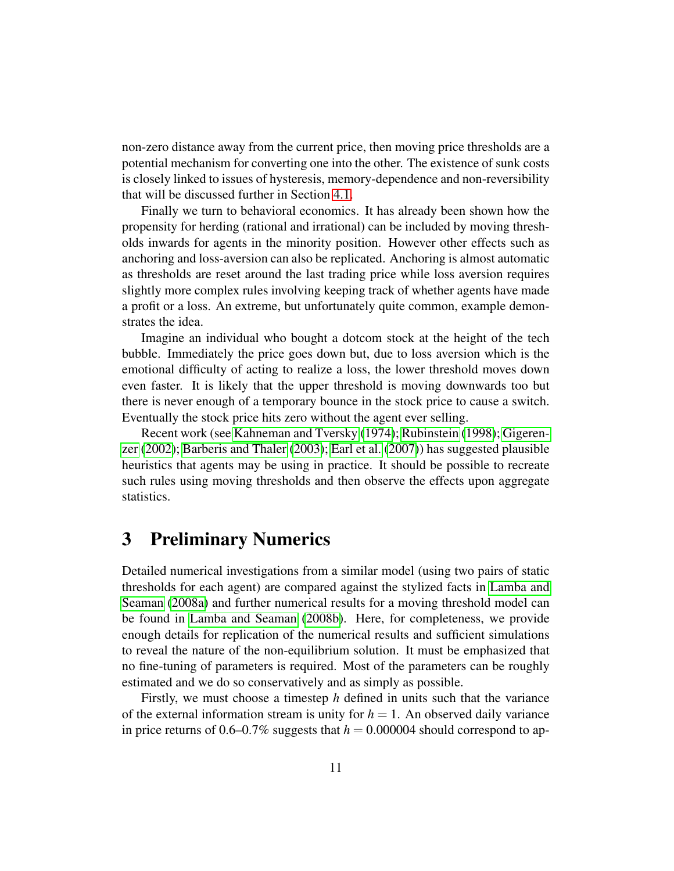non-zero distance away from the current price, then moving price thresholds are a potential mechanism for converting one into the other. The existence of sunk costs is closely linked to issues of hysteresis, memory-dependence and non-reversibility that will be discussed further in Section [4.1.](#page-13-1)

Finally we turn to behavioral economics. It has already been shown how the propensity for herding (rational and irrational) can be included by moving thresholds inwards for agents in the minority position. However other effects such as anchoring and loss-aversion can also be replicated. Anchoring is almost automatic as thresholds are reset around the last trading price while loss aversion requires slightly more complex rules involving keeping track of whether agents have made a profit or a loss. An extreme, but unfortunately quite common, example demonstrates the idea.

Imagine an individual who bought a dotcom stock at the height of the tech bubble. Immediately the price goes down but, due to loss aversion which is the emotional difficulty of acting to realize a loss, the lower threshold moves down even faster. It is likely that the upper threshold is moving downwards too but there is never enough of a temporary bounce in the stock price to cause a switch. Eventually the stock price hits zero without the agent ever selling.

Recent work (see [Kahneman and Tversky](#page-28-4) [\(1974\)](#page-28-4); [Rubinstein](#page-30-2) [\(1998\)](#page-30-2); [Gigeren](#page-28-5)[zer](#page-28-5) [\(2002\)](#page-28-5); [Barberis and Thaler](#page-27-3) [\(2003\)](#page-27-3); [Earl et al.](#page-28-6) [\(2007\)](#page-28-6)) has suggested plausible heuristics that agents may be using in practice. It should be possible to recreate such rules using moving thresholds and then observe the effects upon aggregate statistics.

## <span id="page-10-0"></span>3 Preliminary Numerics

Detailed numerical investigations from a similar model (using two pairs of static thresholds for each agent) are compared against the stylized facts in [Lamba and](#page-29-7) [Seaman](#page-29-7) [\(2008a\)](#page-29-7) and further numerical results for a moving threshold model can be found in [Lamba and Seaman](#page-29-2) [\(2008b\)](#page-29-2). Here, for completeness, we provide enough details for replication of the numerical results and sufficient simulations to reveal the nature of the non-equilibrium solution. It must be emphasized that no fine-tuning of parameters is required. Most of the parameters can be roughly estimated and we do so conservatively and as simply as possible.

Firstly, we must choose a timestep *h* defined in units such that the variance of the external information stream is unity for  $h = 1$ . An observed daily variance in price returns of  $0.6-0.7\%$  suggests that  $h = 0.000004$  should correspond to ap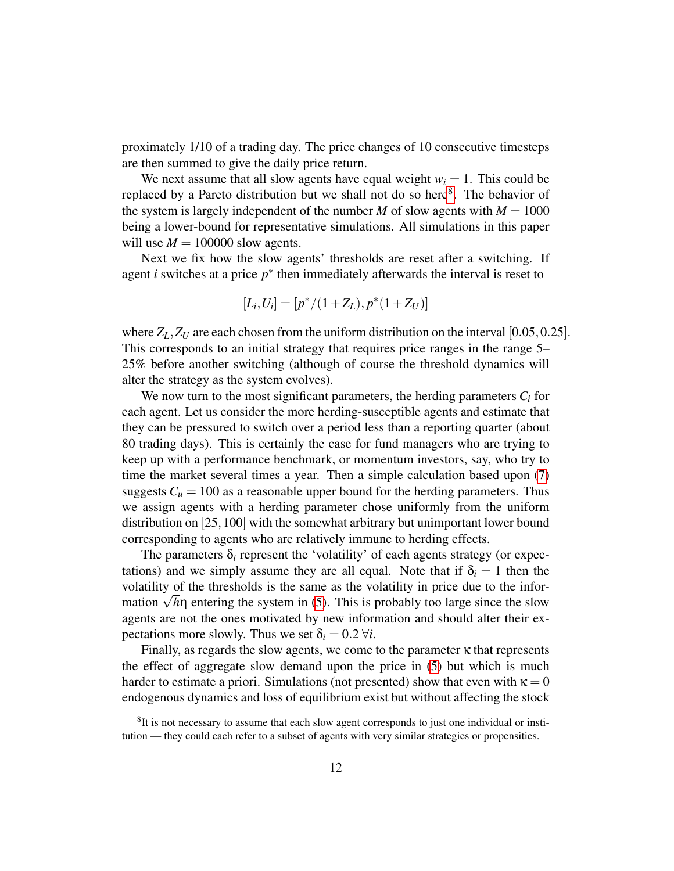proximately 1/10 of a trading day. The price changes of 10 consecutive timesteps are then summed to give the daily price return.

We next assume that all slow agents have equal weight  $w_i = 1$ . This could be replaced by a Pareto distribution but we shall not do so here<sup>[8](#page-11-0)</sup>. The behavior of the system is largely independent of the number *M* of slow agents with  $M = 1000$ being a lower-bound for representative simulations. All simulations in this paper will use  $M = 100000$  slow agents.

Next we fix how the slow agents' thresholds are reset after a switching. If agent *i* switches at a price  $p^*$  then immediately afterwards the interval is reset to

$$
[L_i, U_i] = [p^*/(1+Z_L), p^*(1+Z_U)]
$$

where  $Z_L$ ,  $Z_U$  are each chosen from the uniform distribution on the interval [0.05, 0.25]. This corresponds to an initial strategy that requires price ranges in the range 5– 25% before another switching (although of course the threshold dynamics will alter the strategy as the system evolves).

We now turn to the most significant parameters, the herding parameters  $C_i$  for each agent. Let us consider the more herding-susceptible agents and estimate that they can be pressured to switch over a period less than a reporting quarter (about 80 trading days). This is certainly the case for fund managers who are trying to keep up with a performance benchmark, or momentum investors, say, who try to time the market several times a year. Then a simple calculation based upon [\(7\)](#page-9-2) suggests  $C_u = 100$  as a reasonable upper bound for the herding parameters. Thus we assign agents with a herding parameter chose uniformly from the uniform distribution on [25,100] with the somewhat arbitrary but unimportant lower bound corresponding to agents who are relatively immune to herding effects.

The parameters  $\delta_i$  represent the 'volatility' of each agents strategy (or expectations) and we simply assume they are all equal. Note that if  $\delta_i = 1$  then the volatility of the thresholds is the same as the volatility in price due to the inforvolatility of the thresholds is the same as the volatility in price due to the information  $\sqrt{h}$  entering the system in [\(5\)](#page-6-0). This is probably too large since the slow agents are not the ones motivated by new information and should alter their expectations more slowly. Thus we set  $\delta_i = 0.2 \forall i$ .

Finally, as regards the slow agents, we come to the parameter κ that represents the effect of aggregate slow demand upon the price in [\(5\)](#page-6-0) but which is much harder to estimate a priori. Simulations (not presented) show that even with  $\kappa = 0$ endogenous dynamics and loss of equilibrium exist but without affecting the stock

<span id="page-11-0"></span> ${}^{8}$ It is not necessary to assume that each slow agent corresponds to just one individual or institution — they could each refer to a subset of agents with very similar strategies or propensities.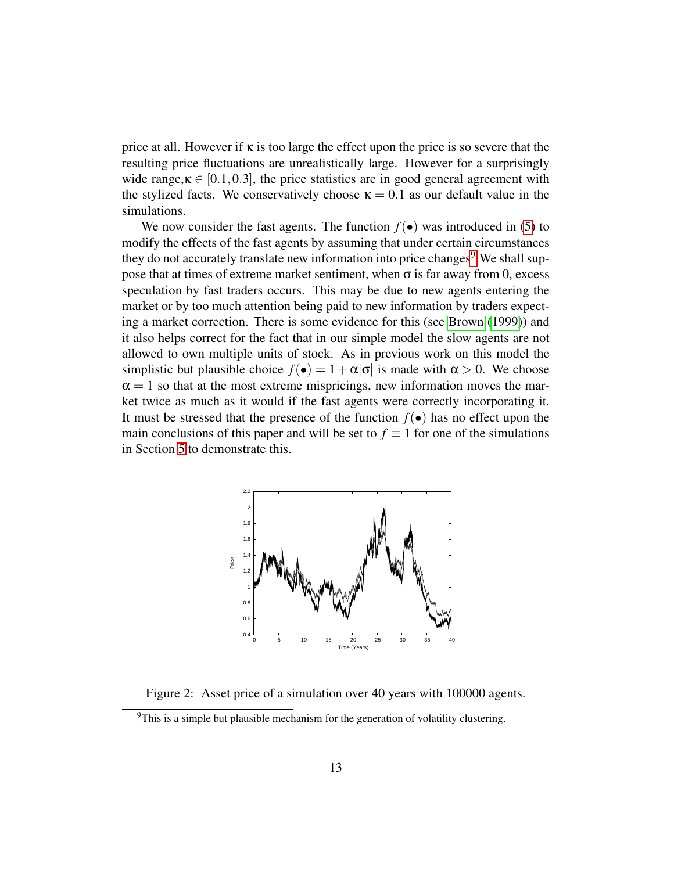price at all. However if κ is too large the effect upon the price is so severe that the resulting price fluctuations are unrealistically large. However for a surprisingly wide range,  $\kappa \in [0.1, 0.3]$ , the price statistics are in good general agreement with the stylized facts. We conservatively choose  $\kappa = 0.1$  as our default value in the simulations.

We now consider the fast agents. The function  $f(\bullet)$  was introduced in [\(5\)](#page-6-0) to modify the effects of the fast agents by assuming that under certain circumstances they do not accurately translate new information into price changes<sup>[9](#page-12-0)</sup>. We shall suppose that at times of extreme market sentiment, when  $\sigma$  is far away from 0, excess speculation by fast traders occurs. This may be due to new agents entering the market or by too much attention being paid to new information by traders expecting a market correction. There is some evidence for this (see [Brown](#page-28-7) [\(1999\)](#page-28-7)) and it also helps correct for the fact that in our simple model the slow agents are not allowed to own multiple units of stock. As in previous work on this model the simplistic but plausible choice  $f(\bullet) = 1 + \alpha |\sigma|$  is made with  $\alpha > 0$ . We choose  $\alpha = 1$  so that at the most extreme mispricings, new information moves the market twice as much as it would if the fast agents were correctly incorporating it. It must be stressed that the presence of the function  $f(\bullet)$  has no effect upon the main conclusions of this paper and will be set to  $f \equiv 1$  for one of the simulations in Section [5](#page-21-0) to demonstrate this.



<span id="page-12-1"></span>Figure 2: Asset price of a simulation over 40 years with 100000 agents.

<span id="page-12-0"></span><sup>&</sup>lt;sup>9</sup>This is a simple but plausible mechanism for the generation of volatility clustering.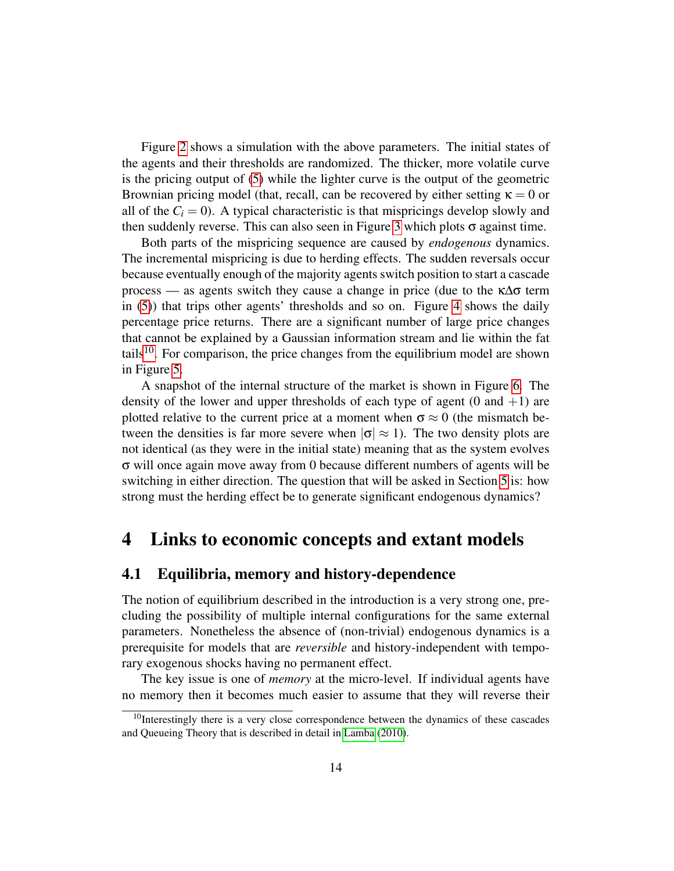Figure [2](#page-12-1) shows a simulation with the above parameters. The initial states of the agents and their thresholds are randomized. The thicker, more volatile curve is the pricing output of [\(5\)](#page-6-0) while the lighter curve is the output of the geometric Brownian pricing model (that, recall, can be recovered by either setting  $\kappa = 0$  or all of the  $C_i = 0$ ). A typical characteristic is that mispricings develop slowly and then suddenly reverse. This can also seen in Figure [3](#page-14-0) which plots  $\sigma$  against time.

Both parts of the mispricing sequence are caused by *endogenous* dynamics. The incremental mispricing is due to herding effects. The sudden reversals occur because eventually enough of the majority agents switch position to start a cascade process — as agents switch they cause a change in price (due to the κ∆σ term in [\(5\)](#page-6-0)) that trips other agents' thresholds and so on. Figure [4](#page-14-1) shows the daily percentage price returns. There are a significant number of large price changes that cannot be explained by a Gaussian information stream and lie within the fat tails<sup>[10](#page-13-2)</sup>. For comparison, the price changes from the equilibrium model are shown in Figure [5.](#page-15-0)

A snapshot of the internal structure of the market is shown in Figure [6.](#page-15-1) The density of the lower and upper thresholds of each type of agent  $(0 \text{ and } +1)$  are plotted relative to the current price at a moment when  $\sigma \approx 0$  (the mismatch between the densities is far more severe when  $|\sigma| \approx 1$ ). The two density plots are not identical (as they were in the initial state) meaning that as the system evolves σ will once again move away from 0 because different numbers of agents will be switching in either direction. The question that will be asked in Section [5](#page-21-0) is: how strong must the herding effect be to generate significant endogenous dynamics?

## <span id="page-13-0"></span>4 Links to economic concepts and extant models

#### <span id="page-13-1"></span>4.1 Equilibria, memory and history-dependence

The notion of equilibrium described in the introduction is a very strong one, precluding the possibility of multiple internal configurations for the same external parameters. Nonetheless the absence of (non-trivial) endogenous dynamics is a prerequisite for models that are *reversible* and history-independent with temporary exogenous shocks having no permanent effect.

The key issue is one of *memory* at the micro-level. If individual agents have no memory then it becomes much easier to assume that they will reverse their

<span id="page-13-2"></span><sup>&</sup>lt;sup>10</sup>Interestingly there is a very close correspondence between the dynamics of these cascades and Queueing Theory that is described in detail in [Lamba](#page-29-3) [\(2010\)](#page-29-3).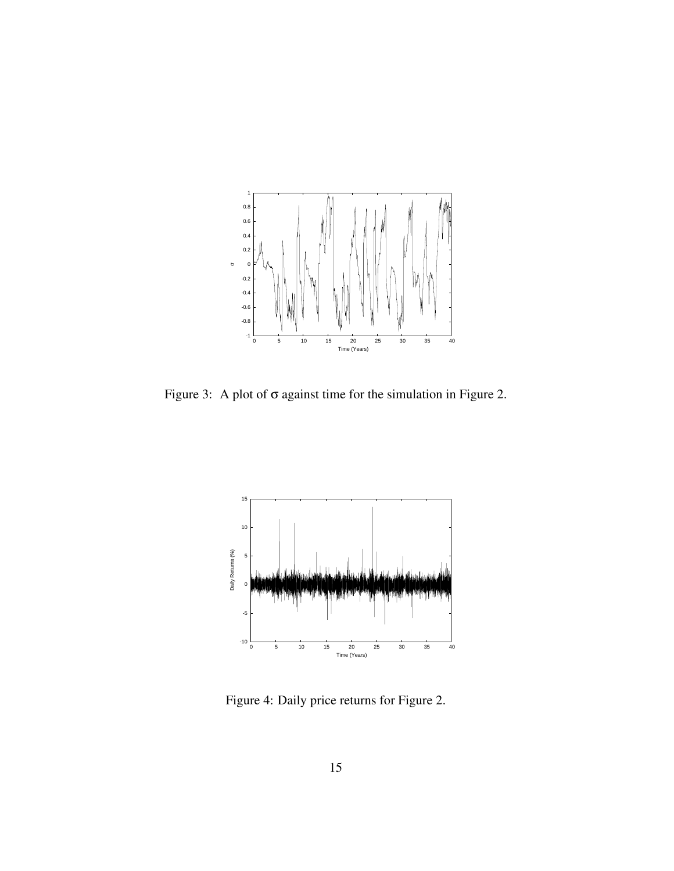

<span id="page-14-0"></span>Figure 3: A plot of  $\sigma$  against time for the simulation in Figure 2.



<span id="page-14-1"></span>Figure 4: Daily price returns for Figure 2.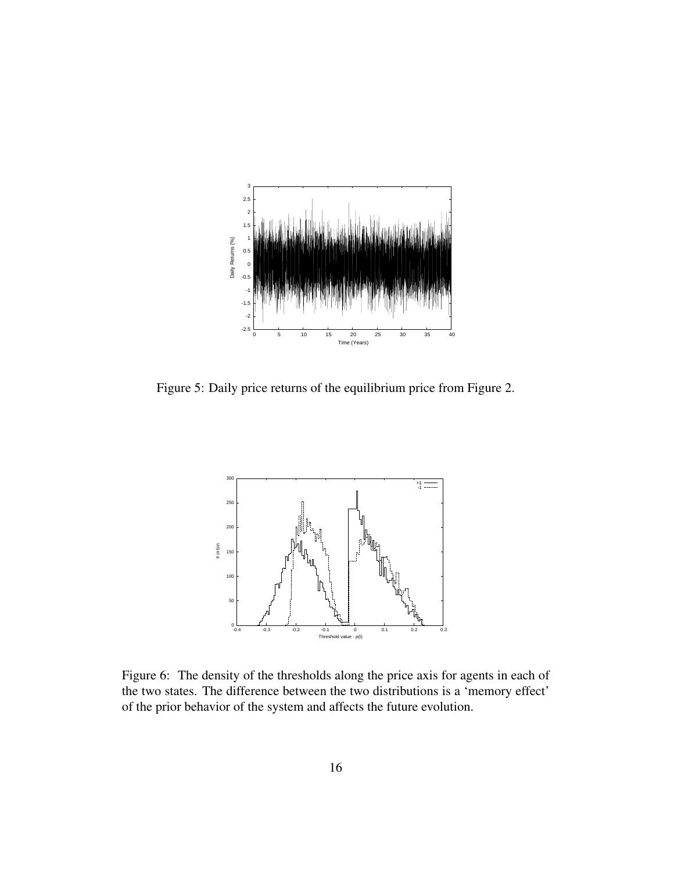

<span id="page-15-0"></span>Figure 5: Daily price returns of the equilibrium price from Figure 2.



<span id="page-15-1"></span>Figure 6: The density of the thresholds along the price axis for agents in each of the two states. The difference between the two distributions is a 'memory effect' of the prior behavior of the system and affects the future evolution.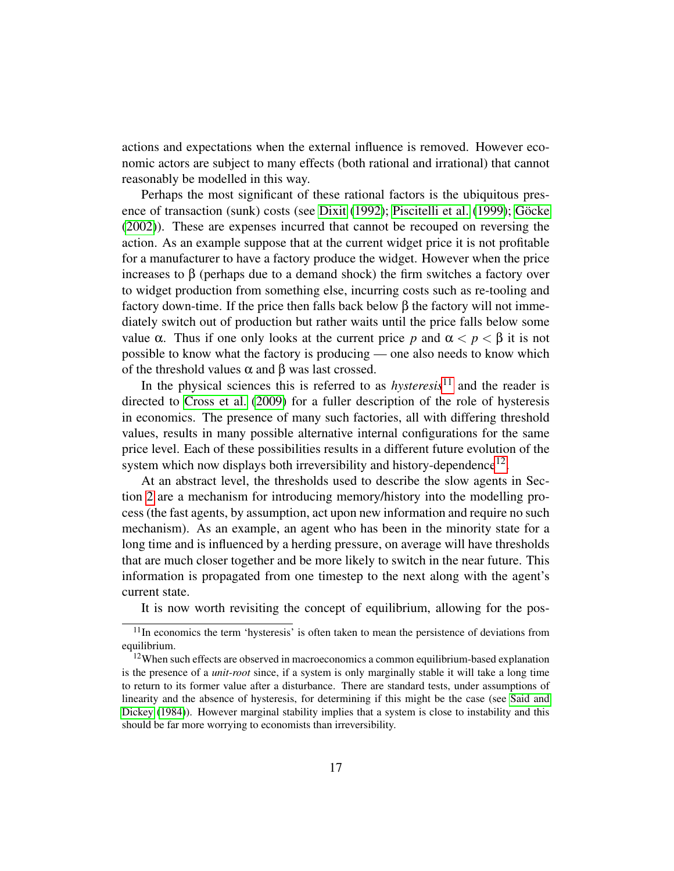actions and expectations when the external influence is removed. However economic actors are subject to many effects (both rational and irrational) that cannot reasonably be modelled in this way.

Perhaps the most significant of these rational factors is the ubiquitous pres-ence of transaction (sunk) costs (see [Dixit](#page-28-8) [\(1992\)](#page-28-8); [Piscitelli et al.](#page-29-8) [\(1999\)](#page-29-8); Göcke [\(2002\)](#page-28-9)). These are expenses incurred that cannot be recouped on reversing the action. As an example suppose that at the current widget price it is not profitable for a manufacturer to have a factory produce the widget. However when the price increases to β (perhaps due to a demand shock) the firm switches a factory over to widget production from something else, incurring costs such as re-tooling and factory down-time. If the price then falls back below β the factory will not immediately switch out of production but rather waits until the price falls below some value α. Thus if one only looks at the current price *p* and  $\alpha < p < \beta$  it is not possible to know what the factory is producing — one also needs to know which of the threshold values  $\alpha$  and  $\beta$  was last crossed.

In the physical sciences this is referred to as *hysteresis*[11](#page-16-0) and the reader is directed to [Cross et al.](#page-28-10) [\(2009\)](#page-28-10) for a fuller description of the role of hysteresis in economics. The presence of many such factories, all with differing threshold values, results in many possible alternative internal configurations for the same price level. Each of these possibilities results in a different future evolution of the system which now displays both irreversibility and history-dependence<sup>[12](#page-16-1)</sup>.

At an abstract level, the thresholds used to describe the slow agents in Section [2](#page-3-0) are a mechanism for introducing memory/history into the modelling process (the fast agents, by assumption, act upon new information and require no such mechanism). As an example, an agent who has been in the minority state for a long time and is influenced by a herding pressure, on average will have thresholds that are much closer together and be more likely to switch in the near future. This information is propagated from one timestep to the next along with the agent's current state.

<span id="page-16-0"></span>It is now worth revisiting the concept of equilibrium, allowing for the pos-

 $11$ In economics the term 'hysteresis' is often taken to mean the persistence of deviations from equilibrium.

<span id="page-16-1"></span><sup>12</sup>When such effects are observed in macroeconomics a common equilibrium-based explanation is the presence of a *unit-root* since, if a system is only marginally stable it will take a long time to return to its former value after a disturbance. There are standard tests, under assumptions of linearity and the absence of hysteresis, for determining if this might be the case (see [Said and](#page-30-3) [Dickey](#page-30-3) [\(1984\)](#page-30-3)). However marginal stability implies that a system is close to instability and this should be far more worrying to economists than irreversibility.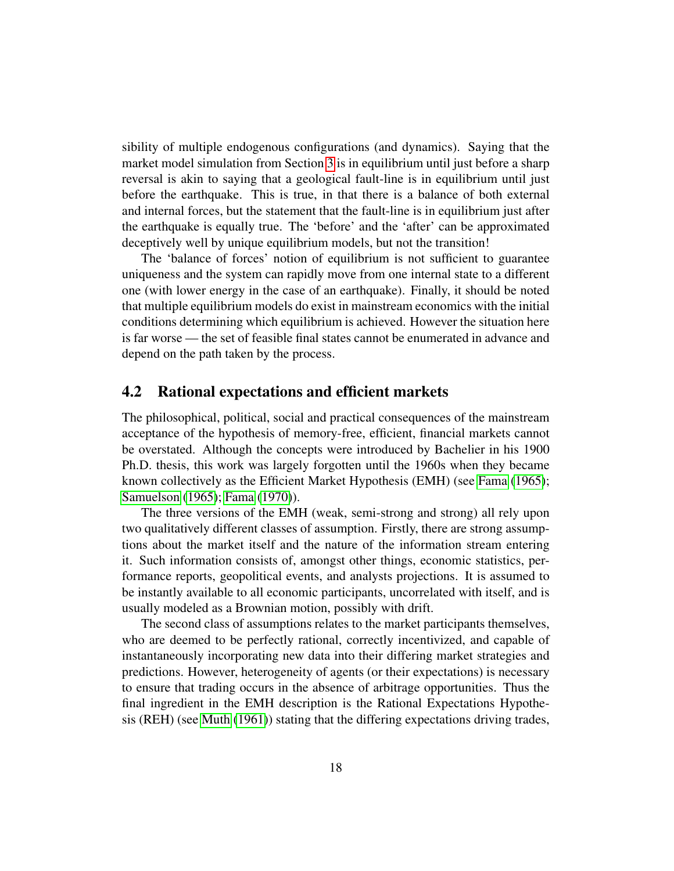sibility of multiple endogenous configurations (and dynamics). Saying that the market model simulation from Section [3](#page-10-0) is in equilibrium until just before a sharp reversal is akin to saying that a geological fault-line is in equilibrium until just before the earthquake. This is true, in that there is a balance of both external and internal forces, but the statement that the fault-line is in equilibrium just after the earthquake is equally true. The 'before' and the 'after' can be approximated deceptively well by unique equilibrium models, but not the transition!

The 'balance of forces' notion of equilibrium is not sufficient to guarantee uniqueness and the system can rapidly move from one internal state to a different one (with lower energy in the case of an earthquake). Finally, it should be noted that multiple equilibrium models do exist in mainstream economics with the initial conditions determining which equilibrium is achieved. However the situation here is far worse — the set of feasible final states cannot be enumerated in advance and depend on the path taken by the process.

#### 4.2 Rational expectations and efficient markets

The philosophical, political, social and practical consequences of the mainstream acceptance of the hypothesis of memory-free, efficient, financial markets cannot be overstated. Although the concepts were introduced by Bachelier in his 1900 Ph.D. thesis, this work was largely forgotten until the 1960s when they became known collectively as the Efficient Market Hypothesis (EMH) (see [Fama](#page-28-11) [\(1965\)](#page-28-11); [Samuelson](#page-30-4) [\(1965\)](#page-30-4); [Fama](#page-28-12) [\(1970\)](#page-28-12)).

The three versions of the EMH (weak, semi-strong and strong) all rely upon two qualitatively different classes of assumption. Firstly, there are strong assumptions about the market itself and the nature of the information stream entering it. Such information consists of, amongst other things, economic statistics, performance reports, geopolitical events, and analysts projections. It is assumed to be instantly available to all economic participants, uncorrelated with itself, and is usually modeled as a Brownian motion, possibly with drift.

The second class of assumptions relates to the market participants themselves, who are deemed to be perfectly rational, correctly incentivized, and capable of instantaneously incorporating new data into their differing market strategies and predictions. However, heterogeneity of agents (or their expectations) is necessary to ensure that trading occurs in the absence of arbitrage opportunities. Thus the final ingredient in the EMH description is the Rational Expectations Hypothesis (REH) (see [Muth](#page-29-9) [\(1961\)](#page-29-9)) stating that the differing expectations driving trades,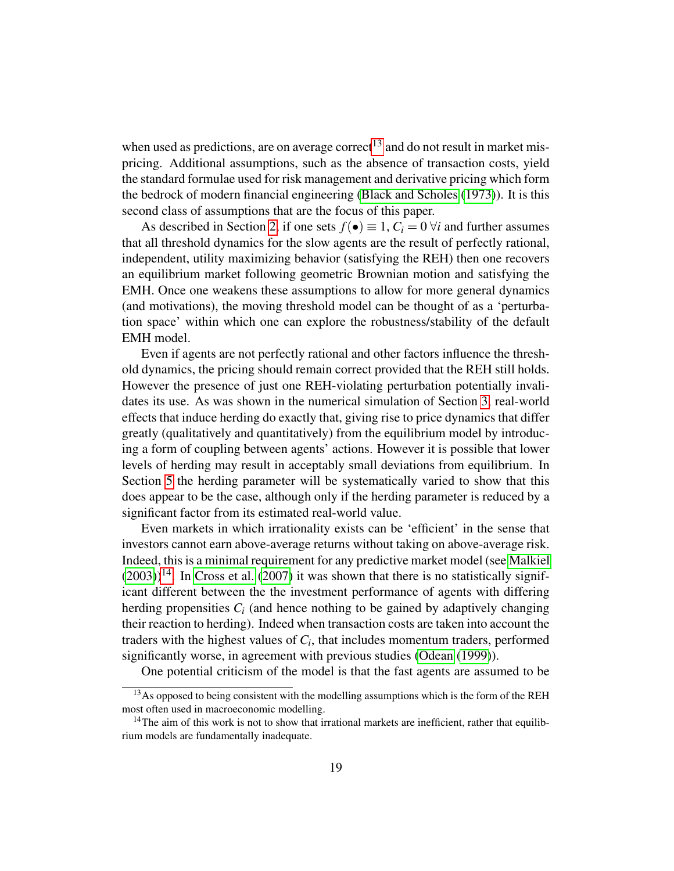when used as predictions, are on average correct<sup>[13](#page-18-0)</sup> and do not result in market mispricing. Additional assumptions, such as the absence of transaction costs, yield the standard formulae used for risk management and derivative pricing which form the bedrock of modern financial engineering [\(Black and Scholes](#page-27-4) [\(1973\)](#page-27-4)). It is this second class of assumptions that are the focus of this paper.

As described in Section [2,](#page-3-0) if one sets  $f(\bullet) \equiv 1, C_i = 0 \forall i$  and further assumes that all threshold dynamics for the slow agents are the result of perfectly rational, independent, utility maximizing behavior (satisfying the REH) then one recovers an equilibrium market following geometric Brownian motion and satisfying the EMH. Once one weakens these assumptions to allow for more general dynamics (and motivations), the moving threshold model can be thought of as a 'perturbation space' within which one can explore the robustness/stability of the default EMH model.

Even if agents are not perfectly rational and other factors influence the threshold dynamics, the pricing should remain correct provided that the REH still holds. However the presence of just one REH-violating perturbation potentially invalidates its use. As was shown in the numerical simulation of Section [3,](#page-10-0) real-world effects that induce herding do exactly that, giving rise to price dynamics that differ greatly (qualitatively and quantitatively) from the equilibrium model by introducing a form of coupling between agents' actions. However it is possible that lower levels of herding may result in acceptably small deviations from equilibrium. In Section [5](#page-21-0) the herding parameter will be systematically varied to show that this does appear to be the case, although only if the herding parameter is reduced by a significant factor from its estimated real-world value.

Even markets in which irrationality exists can be 'efficient' in the sense that investors cannot earn above-average returns without taking on above-average risk. Indeed, this is a minimal requirement for any predictive market model (see [Malkiel](#page-29-10)  $(2003)$ <sup>[14](#page-18-1)</sup>. In [Cross et al.](#page-28-2) [\(2007\)](#page-28-2) it was shown that there is no statistically significant different between the the investment performance of agents with differing herding propensities  $C_i$  (and hence nothing to be gained by adaptively changing their reaction to herding). Indeed when transaction costs are taken into account the traders with the highest values of *C<sup>i</sup>* , that includes momentum traders, performed significantly worse, in agreement with previous studies [\(Odean](#page-29-11) [\(1999\)](#page-29-11)).

<span id="page-18-0"></span>One potential criticism of the model is that the fast agents are assumed to be

<sup>&</sup>lt;sup>13</sup>As opposed to being consistent with the modelling assumptions which is the form of the REH most often used in macroeconomic modelling.

<span id="page-18-1"></span> $14$ The aim of this work is not to show that irrational markets are inefficient, rather that equilibrium models are fundamentally inadequate.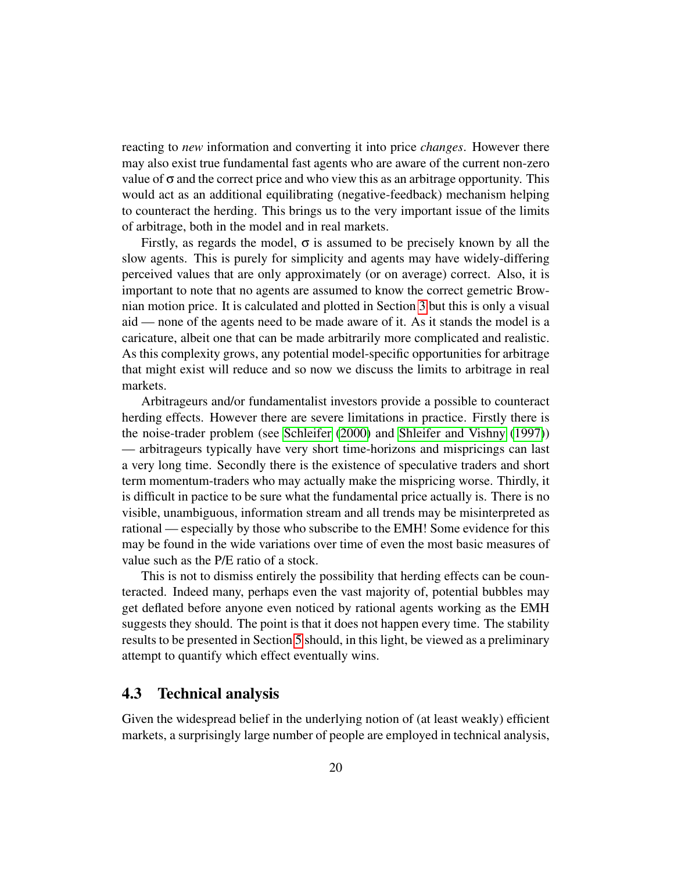reacting to *new* information and converting it into price *changes*. However there may also exist true fundamental fast agents who are aware of the current non-zero value of  $\sigma$  and the correct price and who view this as an arbitrage opportunity. This would act as an additional equilibrating (negative-feedback) mechanism helping to counteract the herding. This brings us to the very important issue of the limits of arbitrage, both in the model and in real markets.

Firstly, as regards the model,  $\sigma$  is assumed to be precisely known by all the slow agents. This is purely for simplicity and agents may have widely-differing perceived values that are only approximately (or on average) correct. Also, it is important to note that no agents are assumed to know the correct gemetric Brownian motion price. It is calculated and plotted in Section [3](#page-10-0) but this is only a visual aid — none of the agents need to be made aware of it. As it stands the model is a caricature, albeit one that can be made arbitrarily more complicated and realistic. As this complexity grows, any potential model-specific opportunities for arbitrage that might exist will reduce and so now we discuss the limits to arbitrage in real markets.

Arbitrageurs and/or fundamentalist investors provide a possible to counteract herding effects. However there are severe limitations in practice. Firstly there is the noise-trader problem (see [Schleifer](#page-30-5) [\(2000\)](#page-30-5) and [Shleifer and Vishny](#page-30-6) [\(1997\)](#page-30-6)) — arbitrageurs typically have very short time-horizons and mispricings can last a very long time. Secondly there is the existence of speculative traders and short term momentum-traders who may actually make the mispricing worse. Thirdly, it is difficult in pactice to be sure what the fundamental price actually is. There is no visible, unambiguous, information stream and all trends may be misinterpreted as rational — especially by those who subscribe to the EMH! Some evidence for this may be found in the wide variations over time of even the most basic measures of value such as the P/E ratio of a stock.

This is not to dismiss entirely the possibility that herding effects can be counteracted. Indeed many, perhaps even the vast majority of, potential bubbles may get deflated before anyone even noticed by rational agents working as the EMH suggests they should. The point is that it does not happen every time. The stability results to be presented in Section [5](#page-21-0) should, in this light, be viewed as a preliminary attempt to quantify which effect eventually wins.

#### 4.3 Technical analysis

Given the widespread belief in the underlying notion of (at least weakly) efficient markets, a surprisingly large number of people are employed in technical analysis,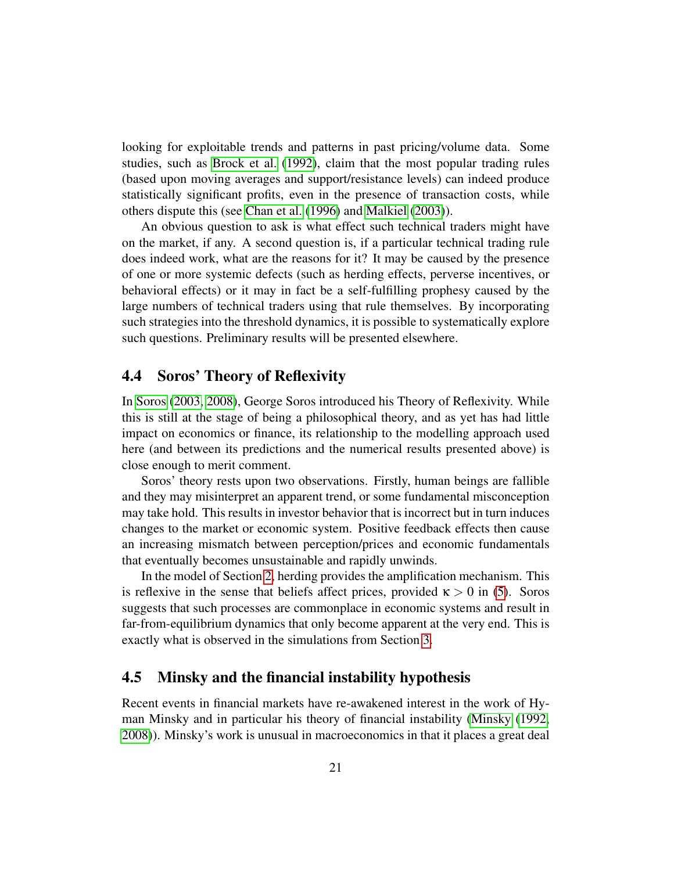looking for exploitable trends and patterns in past pricing/volume data. Some studies, such as [Brock et al.](#page-27-5) [\(1992\)](#page-27-5), claim that the most popular trading rules (based upon moving averages and support/resistance levels) can indeed produce statistically significant profits, even in the presence of transaction costs, while others dispute this (see [Chan et al.](#page-28-13) [\(1996\)](#page-28-13) and [Malkiel](#page-29-10) [\(2003\)](#page-29-10)).

An obvious question to ask is what effect such technical traders might have on the market, if any. A second question is, if a particular technical trading rule does indeed work, what are the reasons for it? It may be caused by the presence of one or more systemic defects (such as herding effects, perverse incentives, or behavioral effects) or it may in fact be a self-fulfilling prophesy caused by the large numbers of technical traders using that rule themselves. By incorporating such strategies into the threshold dynamics, it is possible to systematically explore such questions. Preliminary results will be presented elsewhere.

#### 4.4 Soros' Theory of Reflexivity

In [Soros](#page-30-7) [\(2003,](#page-30-7) [2008\)](#page-30-8), George Soros introduced his Theory of Reflexivity. While this is still at the stage of being a philosophical theory, and as yet has had little impact on economics or finance, its relationship to the modelling approach used here (and between its predictions and the numerical results presented above) is close enough to merit comment.

Soros' theory rests upon two observations. Firstly, human beings are fallible and they may misinterpret an apparent trend, or some fundamental misconception may take hold. This results in investor behavior that is incorrect but in turn induces changes to the market or economic system. Positive feedback effects then cause an increasing mismatch between perception/prices and economic fundamentals that eventually becomes unsustainable and rapidly unwinds.

In the model of Section [2,](#page-3-0) herding provides the amplification mechanism. This is reflexive in the sense that beliefs affect prices, provided  $\kappa > 0$  in [\(5\)](#page-6-0). Soros suggests that such processes are commonplace in economic systems and result in far-from-equilibrium dynamics that only become apparent at the very end. This is exactly what is observed in the simulations from Section [3.](#page-10-0)

### 4.5 Minsky and the financial instability hypothesis

Recent events in financial markets have re-awakened interest in the work of Hyman Minsky and in particular his theory of financial instability [\(Minsky](#page-29-12) [\(1992,](#page-29-12) [2008\)](#page-29-13)). Minsky's work is unusual in macroeconomics in that it places a great deal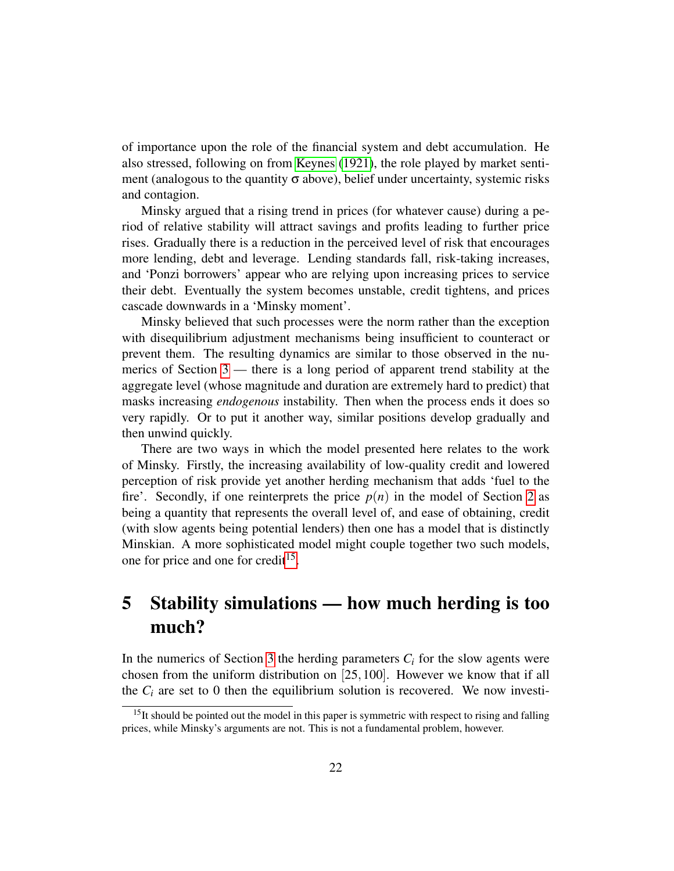of importance upon the role of the financial system and debt accumulation. He also stressed, following on from [Keynes](#page-29-14) [\(1921\)](#page-29-14), the role played by market sentiment (analogous to the quantity  $\sigma$  above), belief under uncertainty, systemic risks and contagion.

Minsky argued that a rising trend in prices (for whatever cause) during a period of relative stability will attract savings and profits leading to further price rises. Gradually there is a reduction in the perceived level of risk that encourages more lending, debt and leverage. Lending standards fall, risk-taking increases, and 'Ponzi borrowers' appear who are relying upon increasing prices to service their debt. Eventually the system becomes unstable, credit tightens, and prices cascade downwards in a 'Minsky moment'.

Minsky believed that such processes were the norm rather than the exception with disequilibrium adjustment mechanisms being insufficient to counteract or prevent them. The resulting dynamics are similar to those observed in the numerics of Section [3](#page-10-0) — there is a long period of apparent trend stability at the aggregate level (whose magnitude and duration are extremely hard to predict) that masks increasing *endogenous* instability. Then when the process ends it does so very rapidly. Or to put it another way, similar positions develop gradually and then unwind quickly.

There are two ways in which the model presented here relates to the work of Minsky. Firstly, the increasing availability of low-quality credit and lowered perception of risk provide yet another herding mechanism that adds 'fuel to the fire'. Secondly, if one reinterprets the price  $p(n)$  in the model of Section [2](#page-3-0) as being a quantity that represents the overall level of, and ease of obtaining, credit (with slow agents being potential lenders) then one has a model that is distinctly Minskian. A more sophisticated model might couple together two such models, one for price and one for credit<sup>[15](#page-21-1)</sup>.

# <span id="page-21-0"></span>5 Stability simulations — how much herding is too much?

In the numerics of Section [3](#page-10-0) the herding parameters  $C_i$  for the slow agents were chosen from the uniform distribution on  $[25,100]$ . However we know that if all the  $C_i$  are set to 0 then the equilibrium solution is recovered. We now investi-

<span id="page-21-1"></span><sup>&</sup>lt;sup>15</sup>It should be pointed out the model in this paper is symmetric with respect to rising and falling prices, while Minsky's arguments are not. This is not a fundamental problem, however.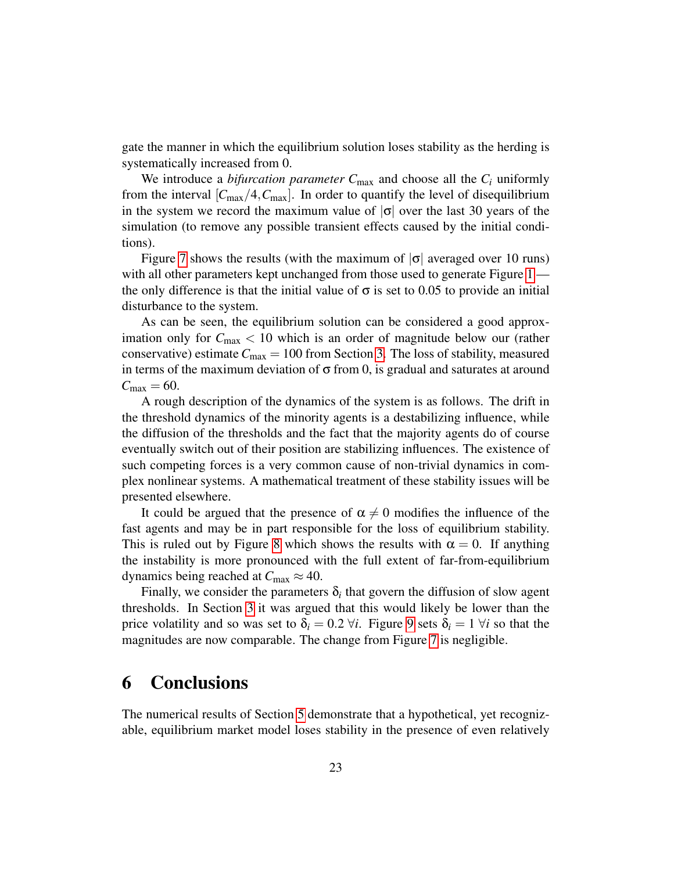gate the manner in which the equilibrium solution loses stability as the herding is systematically increased from 0.

We introduce a *bifurcation parameter*  $C_{\text{max}}$  and choose all the  $C_i$  uniformly from the interval  $[C_{\text{max}}/4, C_{\text{max}}]$ . In order to quantify the level of disequilibrium in the system we record the maximum value of  $|\sigma|$  over the last 30 years of the simulation (to remove any possible transient effects caused by the initial conditions).

Figure [7](#page-23-0) shows the results (with the maximum of  $|\sigma|$  averaged over 10 runs) with all other parameters kept unchanged from those used to generate Figure [1](#page-7-0) the only difference is that the initial value of  $\sigma$  is set to 0.05 to provide an initial disturbance to the system.

As can be seen, the equilibrium solution can be considered a good approximation only for *C*max < 10 which is an order of magnitude below our (rather conservative) estimate  $C_{\text{max}} = 100$  from Section [3.](#page-10-0) The loss of stability, measured in terms of the maximum deviation of  $\sigma$  from 0, is gradual and saturates at around  $C_{\text{max}} = 60.$ 

A rough description of the dynamics of the system is as follows. The drift in the threshold dynamics of the minority agents is a destabilizing influence, while the diffusion of the thresholds and the fact that the majority agents do of course eventually switch out of their position are stabilizing influences. The existence of such competing forces is a very common cause of non-trivial dynamics in complex nonlinear systems. A mathematical treatment of these stability issues will be presented elsewhere.

It could be argued that the presence of  $\alpha \neq 0$  modifies the influence of the fast agents and may be in part responsible for the loss of equilibrium stability. This is ruled out by Figure [8](#page-24-0) which shows the results with  $\alpha = 0$ . If anything the instability is more pronounced with the full extent of far-from-equilibrium dynamics being reached at  $C_{\text{max}} \approx 40$ .

Finally, we consider the parameters  $\delta_i$  that govern the diffusion of slow agent thresholds. In Section [3](#page-10-0) it was argued that this would likely be lower than the price volatility and so was set to  $\delta_i = 0.2 \forall i$ . Figure [9](#page-25-0) sets  $\delta_i = 1 \forall i$  so that the magnitudes are now comparable. The change from Figure [7](#page-23-0) is negligible.

## <span id="page-22-0"></span>6 Conclusions

The numerical results of Section [5](#page-21-0) demonstrate that a hypothetical, yet recognizable, equilibrium market model loses stability in the presence of even relatively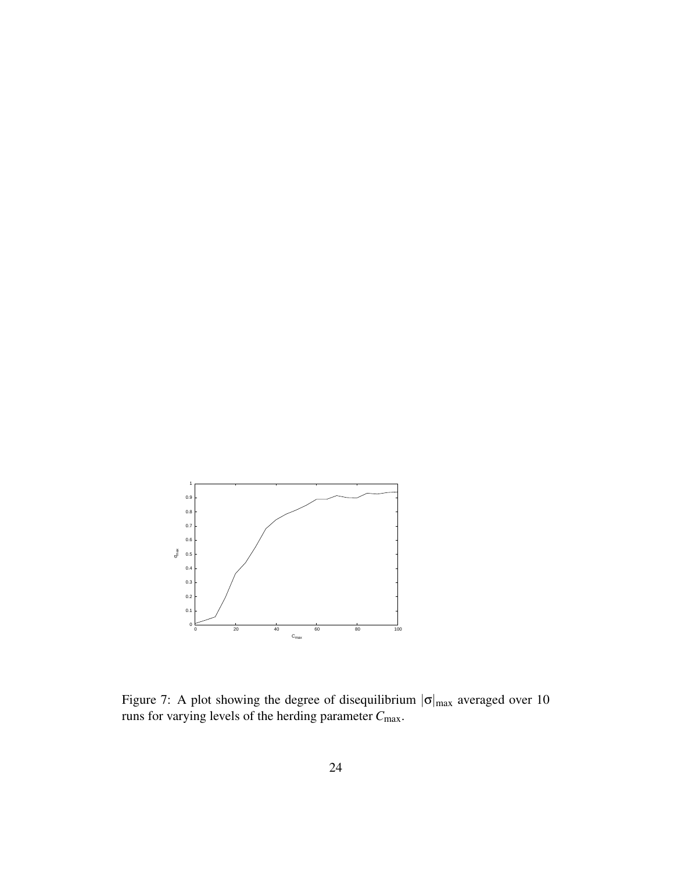

<span id="page-23-0"></span>Figure 7: A plot showing the degree of disequilibrium  $|\sigma|_{\text{max}}$  averaged over 10 runs for varying levels of the herding parameter  $C_{\text{max}}$ .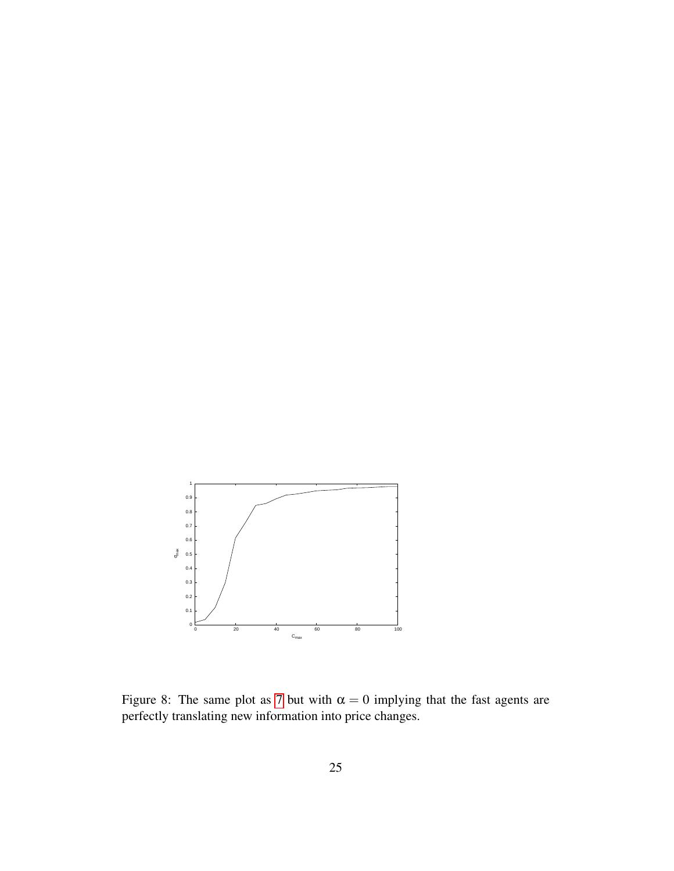

<span id="page-24-0"></span>Figure 8: The same plot as [7](#page-23-0) but with  $\alpha = 0$  implying that the fast agents are perfectly translating new information into price changes.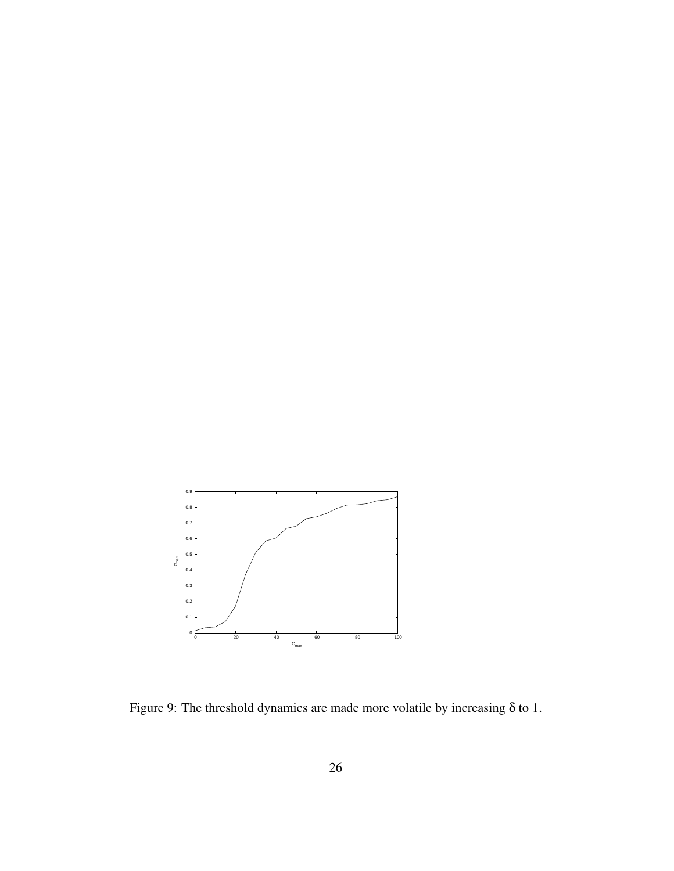

<span id="page-25-0"></span>Figure 9: The threshold dynamics are made more volatile by increasing  $\delta$  to 1.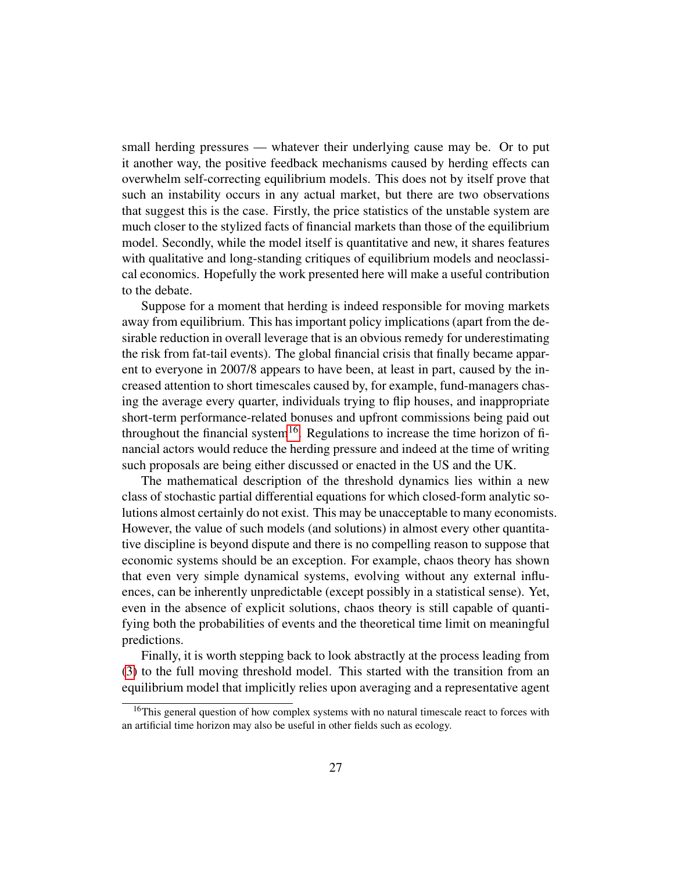small herding pressures — whatever their underlying cause may be. Or to put it another way, the positive feedback mechanisms caused by herding effects can overwhelm self-correcting equilibrium models. This does not by itself prove that such an instability occurs in any actual market, but there are two observations that suggest this is the case. Firstly, the price statistics of the unstable system are much closer to the stylized facts of financial markets than those of the equilibrium model. Secondly, while the model itself is quantitative and new, it shares features with qualitative and long-standing critiques of equilibrium models and neoclassical economics. Hopefully the work presented here will make a useful contribution to the debate.

Suppose for a moment that herding is indeed responsible for moving markets away from equilibrium. This has important policy implications (apart from the desirable reduction in overall leverage that is an obvious remedy for underestimating the risk from fat-tail events). The global financial crisis that finally became apparent to everyone in 2007/8 appears to have been, at least in part, caused by the increased attention to short timescales caused by, for example, fund-managers chasing the average every quarter, individuals trying to flip houses, and inappropriate short-term performance-related bonuses and upfront commissions being paid out throughout the financial system<sup>[16](#page-26-0)</sup>. Regulations to increase the time horizon of financial actors would reduce the herding pressure and indeed at the time of writing such proposals are being either discussed or enacted in the US and the UK.

The mathematical description of the threshold dynamics lies within a new class of stochastic partial differential equations for which closed-form analytic solutions almost certainly do not exist. This may be unacceptable to many economists. However, the value of such models (and solutions) in almost every other quantitative discipline is beyond dispute and there is no compelling reason to suppose that economic systems should be an exception. For example, chaos theory has shown that even very simple dynamical systems, evolving without any external influences, can be inherently unpredictable (except possibly in a statistical sense). Yet, even in the absence of explicit solutions, chaos theory is still capable of quantifying both the probabilities of events and the theoretical time limit on meaningful predictions.

Finally, it is worth stepping back to look abstractly at the process leading from [\(3\)](#page-4-0) to the full moving threshold model. This started with the transition from an equilibrium model that implicitly relies upon averaging and a representative agent

<span id="page-26-0"></span><sup>&</sup>lt;sup>16</sup>This general question of how complex systems with no natural timescale react to forces with an artificial time horizon may also be useful in other fields such as ecology.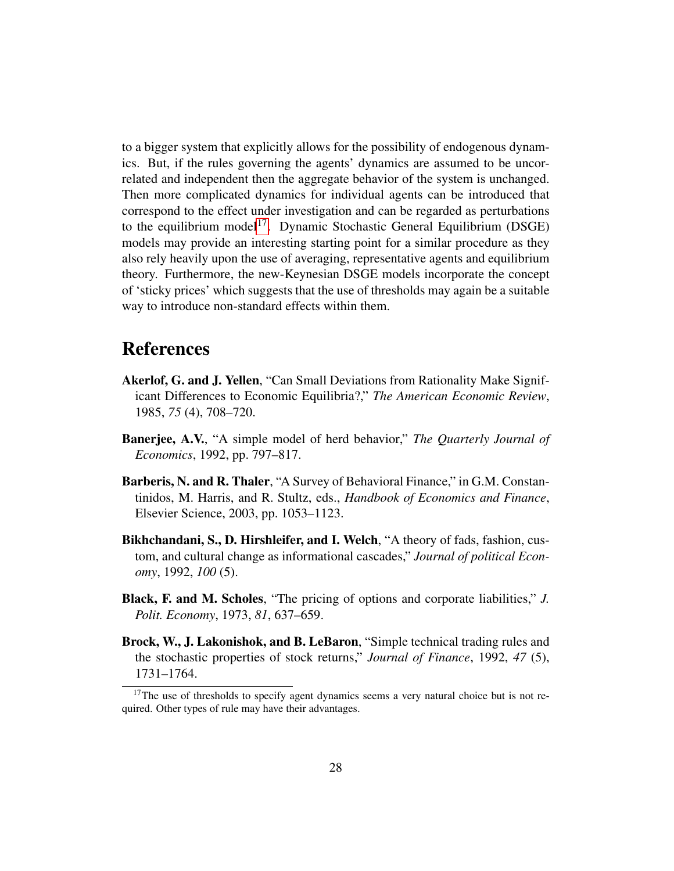to a bigger system that explicitly allows for the possibility of endogenous dynamics. But, if the rules governing the agents' dynamics are assumed to be uncorrelated and independent then the aggregate behavior of the system is unchanged. Then more complicated dynamics for individual agents can be introduced that correspond to the effect under investigation and can be regarded as perturbations to the equilibrium model<sup>[17](#page-27-6)</sup>. Dynamic Stochastic General Equilibrium (DSGE) models may provide an interesting starting point for a similar procedure as they also rely heavily upon the use of averaging, representative agents and equilibrium theory. Furthermore, the new-Keynesian DSGE models incorporate the concept of 'sticky prices' which suggests that the use of thresholds may again be a suitable way to introduce non-standard effects within them.

## References

- <span id="page-27-0"></span>Akerlof, G. and J. Yellen, "Can Small Deviations from Rationality Make Significant Differences to Economic Equilibria?," *The American Economic Review*, 1985, *75* (4), 708–720.
- <span id="page-27-1"></span>Banerjee, A.V., "A simple model of herd behavior," *The Quarterly Journal of Economics*, 1992, pp. 797–817.
- <span id="page-27-3"></span>Barberis, N. and R. Thaler, "A Survey of Behavioral Finance," in G.M. Constantinidos, M. Harris, and R. Stultz, eds., *Handbook of Economics and Finance*, Elsevier Science, 2003, pp. 1053–1123.
- <span id="page-27-2"></span>Bikhchandani, S., D. Hirshleifer, and I. Welch, "A theory of fads, fashion, custom, and cultural change as informational cascades," *Journal of political Economy*, 1992, *100* (5).
- <span id="page-27-4"></span>Black, F. and M. Scholes, "The pricing of options and corporate liabilities," *J. Polit. Economy*, 1973, *81*, 637–659.
- <span id="page-27-5"></span>Brock, W., J. Lakonishok, and B. LeBaron, "Simple technical trading rules and the stochastic properties of stock returns," *Journal of Finance*, 1992, *47* (5), 1731–1764.

<span id="page-27-6"></span><sup>&</sup>lt;sup>17</sup>The use of thresholds to specify agent dynamics seems a very natural choice but is not required. Other types of rule may have their advantages.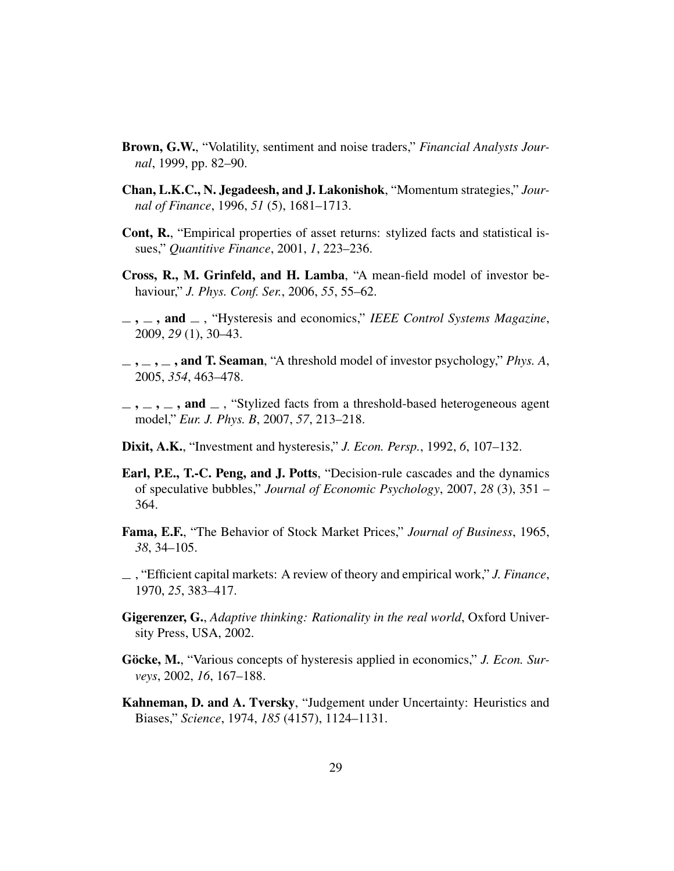- <span id="page-28-7"></span>Brown, G.W., "Volatility, sentiment and noise traders," *Financial Analysts Journal*, 1999, pp. 82–90.
- <span id="page-28-13"></span>Chan, L.K.C., N. Jegadeesh, and J. Lakonishok, "Momentum strategies," *Journal of Finance*, 1996, *51* (5), 1681–1713.
- <span id="page-28-3"></span>Cont, R., "Empirical properties of asset returns: stylized facts and statistical issues," *Quantitive Finance*, 2001, *1*, 223–236.
- <span id="page-28-1"></span>Cross, R., M. Grinfeld, and H. Lamba, "A mean-field model of investor behaviour," *J. Phys. Conf. Ser.*, 2006, *55*, 55–62.
- <span id="page-28-10"></span> $\ldots$ , and  $\ldots$ , "Hysteresis and economics," *IEEE Control Systems Magazine*, 2009, *29* (1), 30–43.
- <span id="page-28-0"></span> $\ldots$ ,  $\ldots$ , and T. Seaman, "A threshold model of investor psychology," *Phys. A*, 2005, *354*, 463–478.
- <span id="page-28-2"></span> $\ldots$ ,  $\ldots$ , and  $\ldots$ , "Stylized facts from a threshold-based heterogeneous agent model," *Eur. J. Phys. B*, 2007, *57*, 213–218.
- <span id="page-28-8"></span>Dixit, A.K., "Investment and hysteresis," *J. Econ. Persp.*, 1992, *6*, 107–132.
- <span id="page-28-6"></span>Earl, P.E., T.-C. Peng, and J. Potts, "Decision-rule cascades and the dynamics of speculative bubbles," *Journal of Economic Psychology*, 2007, *28* (3), 351 – 364.
- <span id="page-28-11"></span>Fama, E.F., "The Behavior of Stock Market Prices," *Journal of Business*, 1965, *38*, 34–105.
- <span id="page-28-12"></span>, "Efficient capital markets: A review of theory and empirical work," *J. Finance*, 1970, *25*, 383–417.
- <span id="page-28-5"></span>Gigerenzer, G., *Adaptive thinking: Rationality in the real world*, Oxford University Press, USA, 2002.
- <span id="page-28-9"></span>Göcke, M., "Various concepts of hysteresis applied in economics," *J. Econ. Surveys*, 2002, *16*, 167–188.
- <span id="page-28-4"></span>Kahneman, D. and A. Tversky, "Judgement under Uncertainty: Heuristics and Biases," *Science*, 1974, *185* (4157), 1124–1131.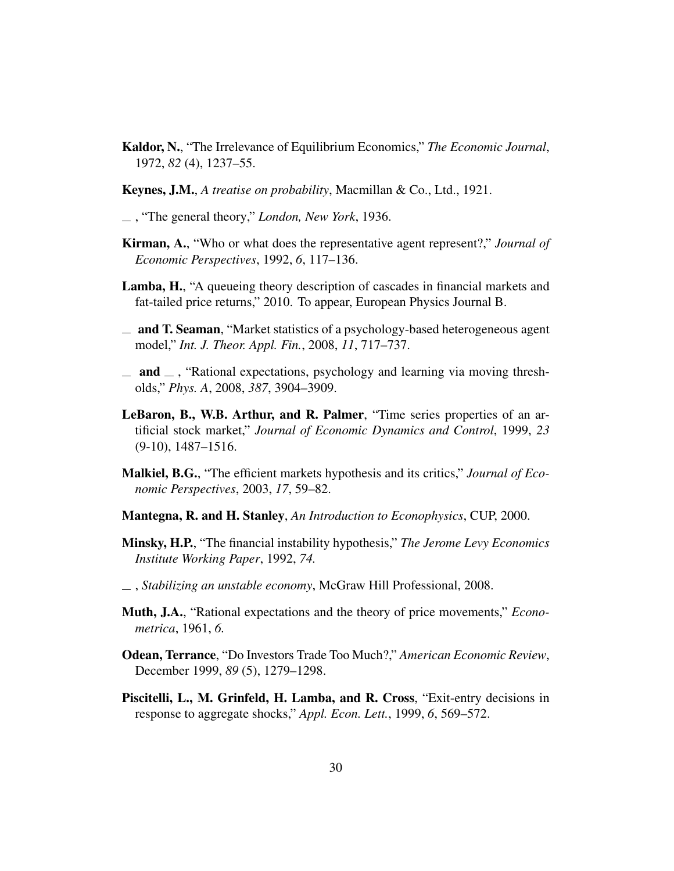- <span id="page-29-0"></span>Kaldor, N., "The Irrelevance of Equilibrium Economics," *The Economic Journal*, 1972, *82* (4), 1237–55.
- <span id="page-29-14"></span>Keynes, J.M., *A treatise on probability*, Macmillan & Co., Ltd., 1921.
- <span id="page-29-6"></span>, "The general theory," *London, New York*, 1936.
- <span id="page-29-1"></span>Kirman, A., "Who or what does the representative agent represent?," *Journal of Economic Perspectives*, 1992, *6*, 117–136.
- <span id="page-29-3"></span>Lamba, H., "A queueing theory description of cascades in financial markets and fat-tailed price returns," 2010. To appear, European Physics Journal B.
- <span id="page-29-7"></span> $\equiv$  and T. Seaman, "Market statistics of a psychology-based heterogeneous agent model," *Int. J. Theor. Appl. Fin.*, 2008, *11*, 717–737.
- <span id="page-29-2"></span> $\equiv$  and  $\equiv$ , "Rational expectations, psychology and learning via moving thresholds," *Phys. A*, 2008, *387*, 3904–3909.
- <span id="page-29-5"></span>LeBaron, B., W.B. Arthur, and R. Palmer, "Time series properties of an artificial stock market," *Journal of Economic Dynamics and Control*, 1999, *23* (9-10), 1487–1516.
- <span id="page-29-10"></span>Malkiel, B.G., "The efficient markets hypothesis and its critics," *Journal of Economic Perspectives*, 2003, *17*, 59–82.
- <span id="page-29-4"></span>Mantegna, R. and H. Stanley, *An Introduction to Econophysics*, CUP, 2000.
- <span id="page-29-12"></span>Minsky, H.P., "The financial instability hypothesis," *The Jerome Levy Economics Institute Working Paper*, 1992, *74.*
- <span id="page-29-13"></span>, *Stabilizing an unstable economy*, McGraw Hill Professional, 2008.
- <span id="page-29-9"></span>Muth, J.A., "Rational expectations and the theory of price movements," *Econometrica*, 1961, *6.*
- <span id="page-29-11"></span>Odean, Terrance, "Do Investors Trade Too Much?," *American Economic Review*, December 1999, *89* (5), 1279–1298.
- <span id="page-29-8"></span>Piscitelli, L., M. Grinfeld, H. Lamba, and R. Cross, "Exit-entry decisions in response to aggregate shocks," *Appl. Econ. Lett.*, 1999, *6*, 569–572.